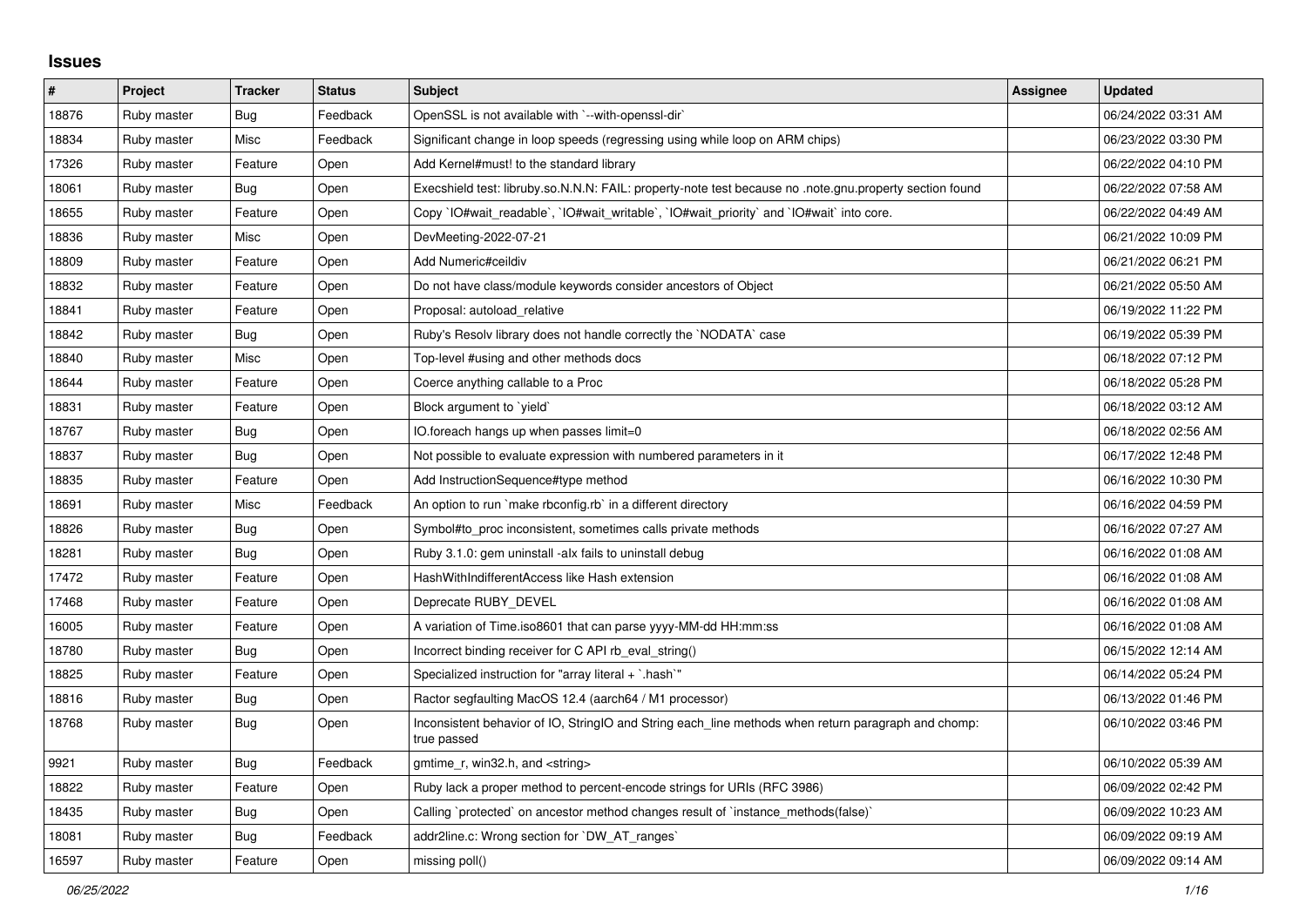## **Issues**

| #     | Project     | <b>Tracker</b> | <b>Status</b> | <b>Subject</b>                                                                                                     | <b>Assignee</b> | <b>Updated</b>      |
|-------|-------------|----------------|---------------|--------------------------------------------------------------------------------------------------------------------|-----------------|---------------------|
| 18876 | Ruby master | Bug            | Feedback      | OpenSSL is not available with `--with-openssl-dir`                                                                 |                 | 06/24/2022 03:31 AM |
| 18834 | Ruby master | Misc           | Feedback      | Significant change in loop speeds (regressing using while loop on ARM chips)                                       |                 | 06/23/2022 03:30 PM |
| 17326 | Ruby master | Feature        | Open          | Add Kernel#must! to the standard library                                                                           |                 | 06/22/2022 04:10 PM |
| 18061 | Ruby master | <b>Bug</b>     | Open          | Execshield test: libruby.so.N.N.N: FAIL: property-note test because no .note.gnu.property section found            |                 | 06/22/2022 07:58 AM |
| 18655 | Ruby master | Feature        | Open          | Copy `IO#wait_readable`, `IO#wait_writable`, `IO#wait_priority` and `IO#wait` into core.                           |                 | 06/22/2022 04:49 AM |
| 18836 | Ruby master | Misc           | Open          | DevMeeting-2022-07-21                                                                                              |                 | 06/21/2022 10:09 PM |
| 18809 | Ruby master | Feature        | Open          | Add Numeric#ceildiv                                                                                                |                 | 06/21/2022 06:21 PM |
| 18832 | Ruby master | Feature        | Open          | Do not have class/module keywords consider ancestors of Object                                                     |                 | 06/21/2022 05:50 AM |
| 18841 | Ruby master | Feature        | Open          | Proposal: autoload_relative                                                                                        |                 | 06/19/2022 11:22 PM |
| 18842 | Ruby master | <b>Bug</b>     | Open          | Ruby's Resolv library does not handle correctly the `NODATA` case                                                  |                 | 06/19/2022 05:39 PM |
| 18840 | Ruby master | Misc           | Open          | Top-level #using and other methods docs                                                                            |                 | 06/18/2022 07:12 PM |
| 18644 | Ruby master | Feature        | Open          | Coerce anything callable to a Proc                                                                                 |                 | 06/18/2022 05:28 PM |
| 18831 | Ruby master | Feature        | Open          | Block argument to `yield`                                                                                          |                 | 06/18/2022 03:12 AM |
| 18767 | Ruby master | <b>Bug</b>     | Open          | IO foreach hangs up when passes limit=0                                                                            |                 | 06/18/2022 02:56 AM |
| 18837 | Ruby master | Bug            | Open          | Not possible to evaluate expression with numbered parameters in it                                                 |                 | 06/17/2022 12:48 PM |
| 18835 | Ruby master | Feature        | Open          | Add InstructionSequence#type method                                                                                |                 | 06/16/2022 10:30 PM |
| 18691 | Ruby master | Misc           | Feedback      | An option to run `make rbconfig.rb` in a different directory                                                       |                 | 06/16/2022 04:59 PM |
| 18826 | Ruby master | <b>Bug</b>     | Open          | Symbol#to proc inconsistent, sometimes calls private methods                                                       |                 | 06/16/2022 07:27 AM |
| 18281 | Ruby master | <b>Bug</b>     | Open          | Ruby 3.1.0: gem uninstall -alx fails to uninstall debug                                                            |                 | 06/16/2022 01:08 AM |
| 17472 | Ruby master | Feature        | Open          | HashWithIndifferentAccess like Hash extension                                                                      |                 | 06/16/2022 01:08 AM |
| 17468 | Ruby master | Feature        | Open          | Deprecate RUBY_DEVEL                                                                                               |                 | 06/16/2022 01:08 AM |
| 16005 | Ruby master | Feature        | Open          | A variation of Time.iso8601 that can parse yyyy-MM-dd HH:mm:ss                                                     |                 | 06/16/2022 01:08 AM |
| 18780 | Ruby master | Bug            | Open          | Incorrect binding receiver for C API rb_eval_string()                                                              |                 | 06/15/2022 12:14 AM |
| 18825 | Ruby master | Feature        | Open          | Specialized instruction for "array literal $+$ `.hash`"                                                            |                 | 06/14/2022 05:24 PM |
| 18816 | Ruby master | Bug            | Open          | Ractor segfaulting MacOS 12.4 (aarch64 / M1 processor)                                                             |                 | 06/13/2022 01:46 PM |
| 18768 | Ruby master | <b>Bug</b>     | Open          | Inconsistent behavior of IO, StringIO and String each_line methods when return paragraph and chomp:<br>true passed |                 | 06/10/2022 03:46 PM |
| 9921  | Ruby master | <b>Bug</b>     | Feedback      | gmtime_r, win32.h, and <string></string>                                                                           |                 | 06/10/2022 05:39 AM |
| 18822 | Ruby master | Feature        | Open          | Ruby lack a proper method to percent-encode strings for URIs (RFC 3986)                                            |                 | 06/09/2022 02:42 PM |
| 18435 | Ruby master | <b>Bug</b>     | Open          | Calling `protected` on ancestor method changes result of `instance methods(false)`                                 |                 | 06/09/2022 10:23 AM |
| 18081 | Ruby master | <b>Bug</b>     | Feedback      | addr2line.c: Wrong section for `DW AT ranges`                                                                      |                 | 06/09/2022 09:19 AM |
| 16597 | Ruby master | Feature        | Open          | missing poll()                                                                                                     |                 | 06/09/2022 09:14 AM |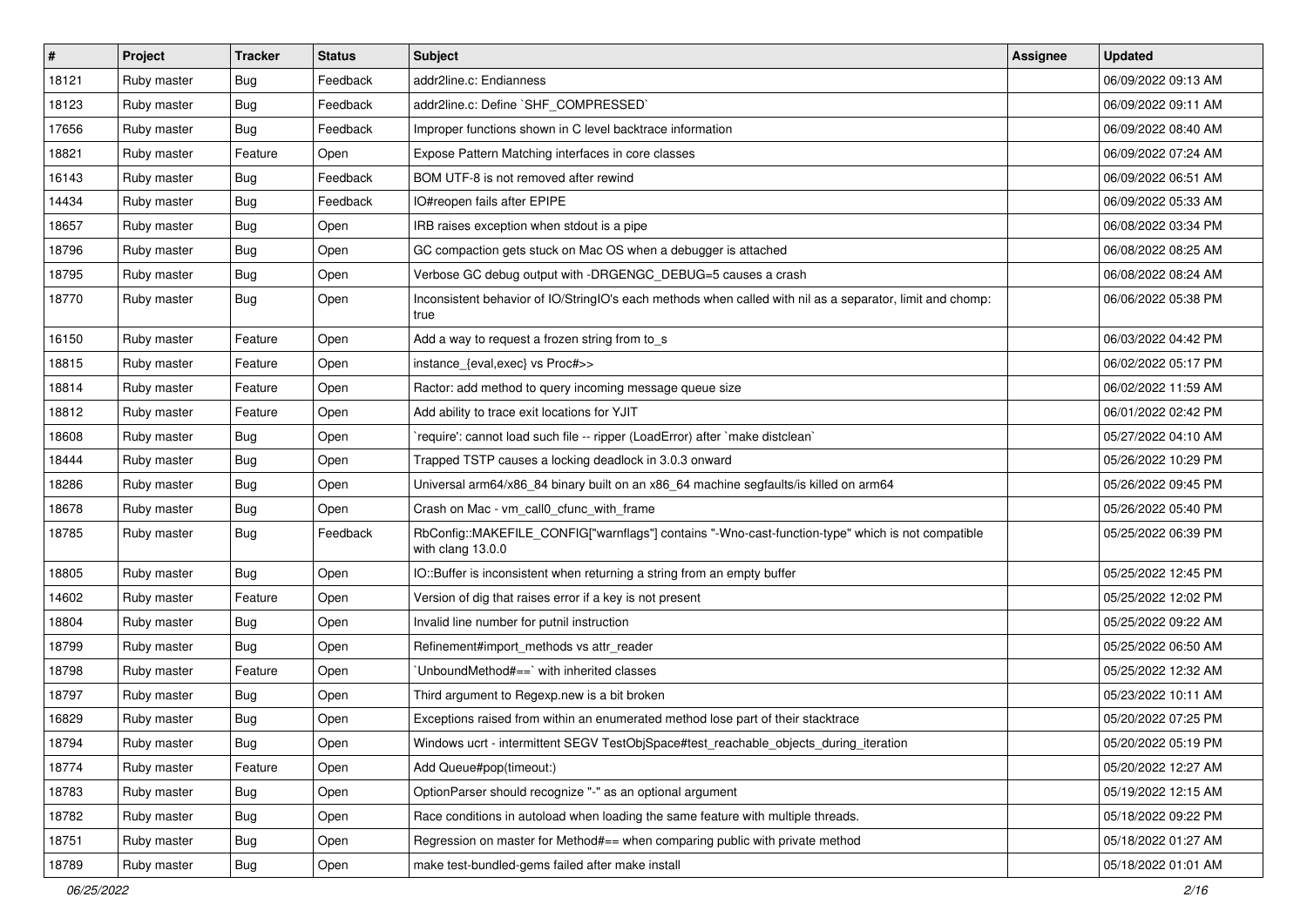| $\sharp$ | Project     | <b>Tracker</b> | <b>Status</b> | Subject                                                                                                                | <b>Assignee</b> | <b>Updated</b>      |
|----------|-------------|----------------|---------------|------------------------------------------------------------------------------------------------------------------------|-----------------|---------------------|
| 18121    | Ruby master | <b>Bug</b>     | Feedback      | addr2line.c: Endianness                                                                                                |                 | 06/09/2022 09:13 AM |
| 18123    | Ruby master | <b>Bug</b>     | Feedback      | addr2line.c: Define `SHF_COMPRESSED`                                                                                   |                 | 06/09/2022 09:11 AM |
| 17656    | Ruby master | <b>Bug</b>     | Feedback      | Improper functions shown in C level backtrace information                                                              |                 | 06/09/2022 08:40 AM |
| 18821    | Ruby master | Feature        | Open          | Expose Pattern Matching interfaces in core classes                                                                     |                 | 06/09/2022 07:24 AM |
| 16143    | Ruby master | <b>Bug</b>     | Feedback      | BOM UTF-8 is not removed after rewind                                                                                  |                 | 06/09/2022 06:51 AM |
| 14434    | Ruby master | <b>Bug</b>     | Feedback      | IO#reopen fails after EPIPE                                                                                            |                 | 06/09/2022 05:33 AM |
| 18657    | Ruby master | <b>Bug</b>     | Open          | IRB raises exception when stdout is a pipe                                                                             |                 | 06/08/2022 03:34 PM |
| 18796    | Ruby master | <b>Bug</b>     | Open          | GC compaction gets stuck on Mac OS when a debugger is attached                                                         |                 | 06/08/2022 08:25 AM |
| 18795    | Ruby master | <b>Bug</b>     | Open          | Verbose GC debug output with -DRGENGC_DEBUG=5 causes a crash                                                           |                 | 06/08/2022 08:24 AM |
| 18770    | Ruby master | <b>Bug</b>     | Open          | Inconsistent behavior of IO/StringIO's each methods when called with nil as a separator, limit and chomp:<br>true      |                 | 06/06/2022 05:38 PM |
| 16150    | Ruby master | Feature        | Open          | Add a way to request a frozen string from to_s                                                                         |                 | 06/03/2022 04:42 PM |
| 18815    | Ruby master | Feature        | Open          | instance_{eval,exec} vs Proc#>>                                                                                        |                 | 06/02/2022 05:17 PM |
| 18814    | Ruby master | Feature        | Open          | Ractor: add method to query incoming message queue size                                                                |                 | 06/02/2022 11:59 AM |
| 18812    | Ruby master | Feature        | Open          | Add ability to trace exit locations for YJIT                                                                           |                 | 06/01/2022 02:42 PM |
| 18608    | Ruby master | Bug            | Open          | 'require': cannot load such file -- ripper (LoadError) after 'make distclean'                                          |                 | 05/27/2022 04:10 AM |
| 18444    | Ruby master | Bug            | Open          | Trapped TSTP causes a locking deadlock in 3.0.3 onward                                                                 |                 | 05/26/2022 10:29 PM |
| 18286    | Ruby master | <b>Bug</b>     | Open          | Universal arm64/x86_84 binary built on an x86_64 machine segfaults/is killed on arm64                                  |                 | 05/26/2022 09:45 PM |
| 18678    | Ruby master | <b>Bug</b>     | Open          | Crash on Mac - vm_call0_cfunc_with_frame                                                                               |                 | 05/26/2022 05:40 PM |
| 18785    | Ruby master | <b>Bug</b>     | Feedback      | RbConfig::MAKEFILE_CONFIG["warnflags"] contains "-Wno-cast-function-type" which is not compatible<br>with clang 13.0.0 |                 | 05/25/2022 06:39 PM |
| 18805    | Ruby master | Bug            | Open          | IO::Buffer is inconsistent when returning a string from an empty buffer                                                |                 | 05/25/2022 12:45 PM |
| 14602    | Ruby master | Feature        | Open          | Version of dig that raises error if a key is not present                                                               |                 | 05/25/2022 12:02 PM |
| 18804    | Ruby master | <b>Bug</b>     | Open          | Invalid line number for putnil instruction                                                                             |                 | 05/25/2022 09:22 AM |
| 18799    | Ruby master | <b>Bug</b>     | Open          | Refinement#import_methods vs attr_reader                                                                               |                 | 05/25/2022 06:50 AM |
| 18798    | Ruby master | Feature        | Open          | 'UnboundMethod#==' with inherited classes                                                                              |                 | 05/25/2022 12:32 AM |
| 18797    | Ruby master | <b>Bug</b>     | Open          | Third argument to Regexp.new is a bit broken                                                                           |                 | 05/23/2022 10:11 AM |
| 16829    | Ruby master | <b>Bug</b>     | Open          | Exceptions raised from within an enumerated method lose part of their stacktrace                                       |                 | 05/20/2022 07:25 PM |
| 18794    | Ruby master | <b>Bug</b>     | Open          | Windows ucrt - intermittent SEGV TestObjSpace#test_reachable_objects_during_iteration                                  |                 | 05/20/2022 05:19 PM |
| 18774    | Ruby master | Feature        | Open          | Add Queue#pop(timeout:)                                                                                                |                 | 05/20/2022 12:27 AM |
| 18783    | Ruby master | Bug            | Open          | OptionParser should recognize "-" as an optional argument                                                              |                 | 05/19/2022 12:15 AM |
| 18782    | Ruby master | <b>Bug</b>     | Open          | Race conditions in autoload when loading the same feature with multiple threads.                                       |                 | 05/18/2022 09:22 PM |
| 18751    | Ruby master | <b>Bug</b>     | Open          | Regression on master for Method#== when comparing public with private method                                           |                 | 05/18/2022 01:27 AM |
| 18789    | Ruby master | <b>Bug</b>     | Open          | make test-bundled-gems failed after make install                                                                       |                 | 05/18/2022 01:01 AM |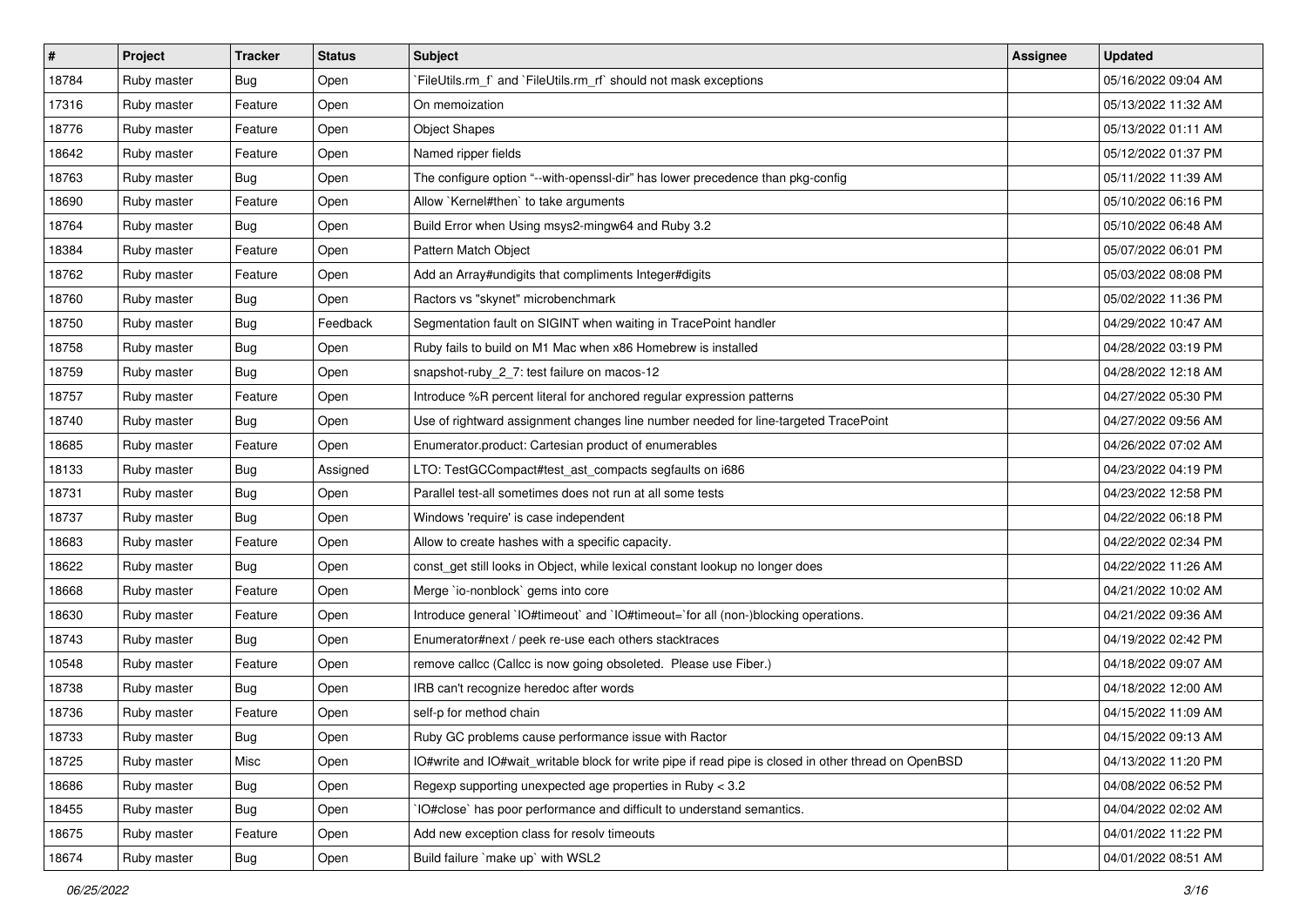| $\vert$ # | Project     | <b>Tracker</b> | <b>Status</b> | <b>Subject</b>                                                                                       | <b>Assignee</b> | <b>Updated</b>      |
|-----------|-------------|----------------|---------------|------------------------------------------------------------------------------------------------------|-----------------|---------------------|
| 18784     | Ruby master | <b>Bug</b>     | Open          | FileUtils.rm_f` and `FileUtils.rm_rf` should not mask exceptions                                     |                 | 05/16/2022 09:04 AM |
| 17316     | Ruby master | Feature        | Open          | On memoization                                                                                       |                 | 05/13/2022 11:32 AM |
| 18776     | Ruby master | Feature        | Open          | <b>Object Shapes</b>                                                                                 |                 | 05/13/2022 01:11 AM |
| 18642     | Ruby master | Feature        | Open          | Named ripper fields                                                                                  |                 | 05/12/2022 01:37 PM |
| 18763     | Ruby master | <b>Bug</b>     | Open          | The configure option "--with-openssl-dir" has lower precedence than pkg-config                       |                 | 05/11/2022 11:39 AM |
| 18690     | Ruby master | Feature        | Open          | Allow `Kernel#then` to take arguments                                                                |                 | 05/10/2022 06:16 PM |
| 18764     | Ruby master | <b>Bug</b>     | Open          | Build Error when Using msys2-mingw64 and Ruby 3.2                                                    |                 | 05/10/2022 06:48 AM |
| 18384     | Ruby master | Feature        | Open          | Pattern Match Object                                                                                 |                 | 05/07/2022 06:01 PM |
| 18762     | Ruby master | Feature        | Open          | Add an Array#undigits that compliments Integer#digits                                                |                 | 05/03/2022 08:08 PM |
| 18760     | Ruby master | <b>Bug</b>     | Open          | Ractors vs "skynet" microbenchmark                                                                   |                 | 05/02/2022 11:36 PM |
| 18750     | Ruby master | <b>Bug</b>     | Feedback      | Segmentation fault on SIGINT when waiting in TracePoint handler                                      |                 | 04/29/2022 10:47 AM |
| 18758     | Ruby master | Bug            | Open          | Ruby fails to build on M1 Mac when x86 Homebrew is installed                                         |                 | 04/28/2022 03:19 PM |
| 18759     | Ruby master | <b>Bug</b>     | Open          | snapshot-ruby_2_7: test failure on macos-12                                                          |                 | 04/28/2022 12:18 AM |
| 18757     | Ruby master | Feature        | Open          | Introduce %R percent literal for anchored regular expression patterns                                |                 | 04/27/2022 05:30 PM |
| 18740     | Ruby master | <b>Bug</b>     | Open          | Use of rightward assignment changes line number needed for line-targeted TracePoint                  |                 | 04/27/2022 09:56 AM |
| 18685     | Ruby master | Feature        | Open          | Enumerator.product: Cartesian product of enumerables                                                 |                 | 04/26/2022 07:02 AM |
| 18133     | Ruby master | Bug            | Assigned      | LTO: TestGCCompact#test_ast_compacts segfaults on i686                                               |                 | 04/23/2022 04:19 PM |
| 18731     | Ruby master | <b>Bug</b>     | Open          | Parallel test-all sometimes does not run at all some tests                                           |                 | 04/23/2022 12:58 PM |
| 18737     | Ruby master | Bug            | Open          | Windows 'require' is case independent                                                                |                 | 04/22/2022 06:18 PM |
| 18683     | Ruby master | Feature        | Open          | Allow to create hashes with a specific capacity.                                                     |                 | 04/22/2022 02:34 PM |
| 18622     | Ruby master | Bug            | Open          | const_get still looks in Object, while lexical constant lookup no longer does                        |                 | 04/22/2022 11:26 AM |
| 18668     | Ruby master | Feature        | Open          | Merge `io-nonblock` gems into core                                                                   |                 | 04/21/2022 10:02 AM |
| 18630     | Ruby master | Feature        | Open          | Introduce general `IO#timeout` and `IO#timeout=`for all (non-)blocking operations.                   |                 | 04/21/2022 09:36 AM |
| 18743     | Ruby master | <b>Bug</b>     | Open          | Enumerator#next / peek re-use each others stacktraces                                                |                 | 04/19/2022 02:42 PM |
| 10548     | Ruby master | Feature        | Open          | remove callcc (Callcc is now going obsoleted. Please use Fiber.)                                     |                 | 04/18/2022 09:07 AM |
| 18738     | Ruby master | Bug            | Open          | IRB can't recognize heredoc after words                                                              |                 | 04/18/2022 12:00 AM |
| 18736     | Ruby master | Feature        | Open          | self-p for method chain                                                                              |                 | 04/15/2022 11:09 AM |
| 18733     | Ruby master | Bug            | Open          | Ruby GC problems cause performance issue with Ractor                                                 |                 | 04/15/2022 09:13 AM |
| 18725     | Ruby master | Misc           | Open          | IO#write and IO#wait writable block for write pipe if read pipe is closed in other thread on OpenBSD |                 | 04/13/2022 11:20 PM |
| 18686     | Ruby master | <b>Bug</b>     | Open          | Regexp supporting unexpected age properties in Ruby < 3.2                                            |                 | 04/08/2022 06:52 PM |
| 18455     | Ruby master | <b>Bug</b>     | Open          | IO#close` has poor performance and difficult to understand semantics.                                |                 | 04/04/2022 02:02 AM |
| 18675     | Ruby master | Feature        | Open          | Add new exception class for resolv timeouts                                                          |                 | 04/01/2022 11:22 PM |
| 18674     | Ruby master | Bug            | Open          | Build failure `make up` with WSL2                                                                    |                 | 04/01/2022 08:51 AM |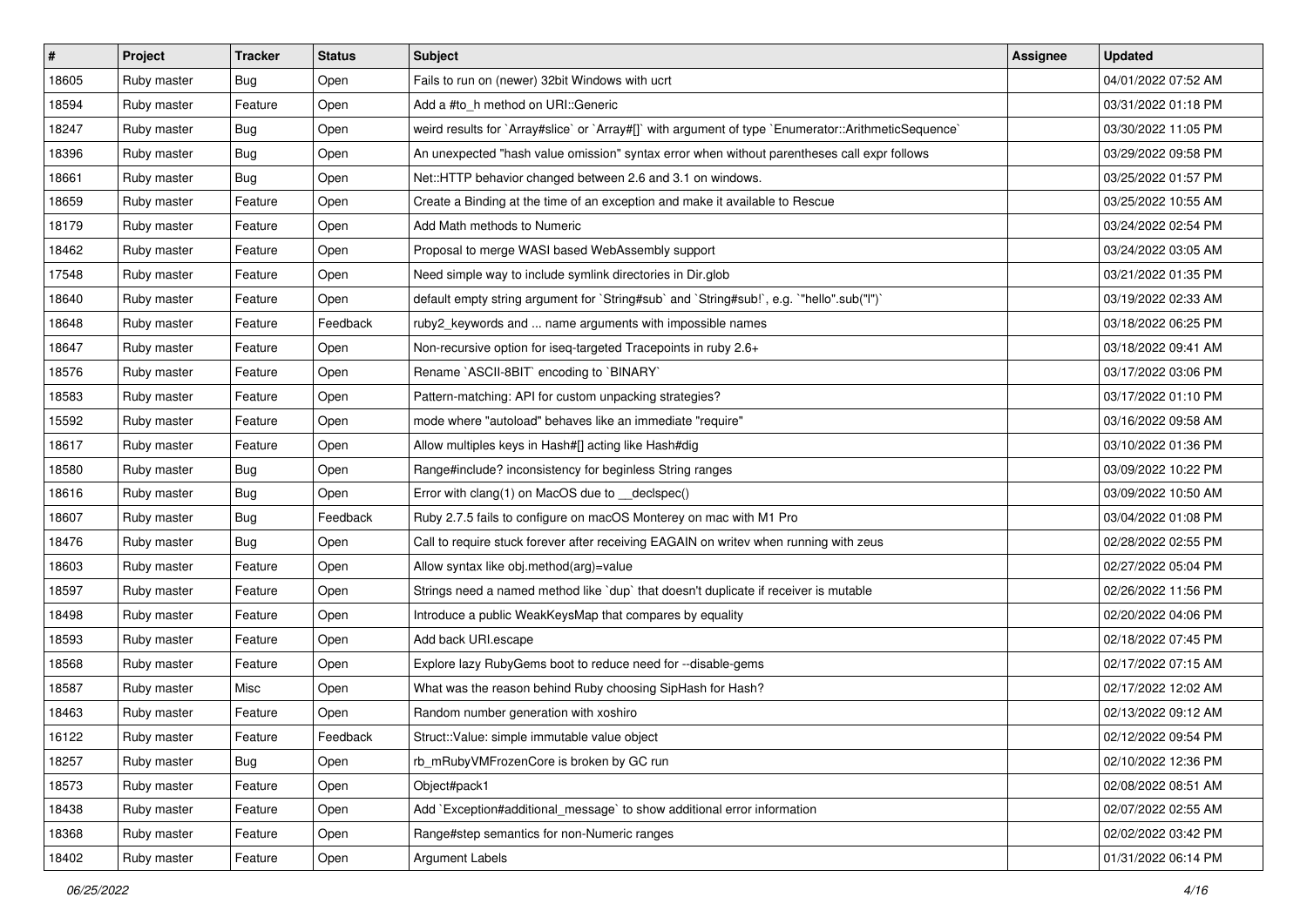| #     | <b>Project</b> | <b>Tracker</b> | <b>Status</b> | <b>Subject</b>                                                                                       | Assignee | <b>Updated</b>      |
|-------|----------------|----------------|---------------|------------------------------------------------------------------------------------------------------|----------|---------------------|
| 18605 | Ruby master    | Bug            | Open          | Fails to run on (newer) 32bit Windows with ucrt                                                      |          | 04/01/2022 07:52 AM |
| 18594 | Ruby master    | Feature        | Open          | Add a #to_h method on URI::Generic                                                                   |          | 03/31/2022 01:18 PM |
| 18247 | Ruby master    | <b>Bug</b>     | Open          | weird results for `Array#slice` or `Array#[]` with argument of type `Enumerator::ArithmeticSequence` |          | 03/30/2022 11:05 PM |
| 18396 | Ruby master    | Bug            | Open          | An unexpected "hash value omission" syntax error when without parentheses call expr follows          |          | 03/29/2022 09:58 PM |
| 18661 | Ruby master    | Bug            | Open          | Net::HTTP behavior changed between 2.6 and 3.1 on windows.                                           |          | 03/25/2022 01:57 PM |
| 18659 | Ruby master    | Feature        | Open          | Create a Binding at the time of an exception and make it available to Rescue                         |          | 03/25/2022 10:55 AM |
| 18179 | Ruby master    | Feature        | Open          | Add Math methods to Numeric                                                                          |          | 03/24/2022 02:54 PM |
| 18462 | Ruby master    | Feature        | Open          | Proposal to merge WASI based WebAssembly support                                                     |          | 03/24/2022 03:05 AM |
| 17548 | Ruby master    | Feature        | Open          | Need simple way to include symlink directories in Dir.glob                                           |          | 03/21/2022 01:35 PM |
| 18640 | Ruby master    | Feature        | Open          | default empty string argument for `String#sub` and `String#sub!`, e.g. `"hello".sub("I")`            |          | 03/19/2022 02:33 AM |
| 18648 | Ruby master    | Feature        | Feedback      | ruby2_keywords and  name arguments with impossible names                                             |          | 03/18/2022 06:25 PM |
| 18647 | Ruby master    | Feature        | Open          | Non-recursive option for iseq-targeted Tracepoints in ruby 2.6+                                      |          | 03/18/2022 09:41 AM |
| 18576 | Ruby master    | Feature        | Open          | Rename `ASCII-8BIT` encoding to `BINARY`                                                             |          | 03/17/2022 03:06 PM |
| 18583 | Ruby master    | Feature        | Open          | Pattern-matching: API for custom unpacking strategies?                                               |          | 03/17/2022 01:10 PM |
| 15592 | Ruby master    | Feature        | Open          | mode where "autoload" behaves like an immediate "require"                                            |          | 03/16/2022 09:58 AM |
| 18617 | Ruby master    | Feature        | Open          | Allow multiples keys in Hash#[] acting like Hash#dig                                                 |          | 03/10/2022 01:36 PM |
| 18580 | Ruby master    | Bug            | Open          | Range#include? inconsistency for beginless String ranges                                             |          | 03/09/2022 10:22 PM |
| 18616 | Ruby master    | <b>Bug</b>     | Open          | Error with clang(1) on MacOS due to _declspec()                                                      |          | 03/09/2022 10:50 AM |
| 18607 | Ruby master    | <b>Bug</b>     | Feedback      | Ruby 2.7.5 fails to configure on macOS Monterey on mac with M1 Pro                                   |          | 03/04/2022 01:08 PM |
| 18476 | Ruby master    | Bug            | Open          | Call to require stuck forever after receiving EAGAIN on writev when running with zeus                |          | 02/28/2022 02:55 PM |
| 18603 | Ruby master    | Feature        | Open          | Allow syntax like obj.method(arg)=value                                                              |          | 02/27/2022 05:04 PM |
| 18597 | Ruby master    | Feature        | Open          | Strings need a named method like 'dup' that doesn't duplicate if receiver is mutable                 |          | 02/26/2022 11:56 PM |
| 18498 | Ruby master    | Feature        | Open          | Introduce a public WeakKeysMap that compares by equality                                             |          | 02/20/2022 04:06 PM |
| 18593 | Ruby master    | Feature        | Open          | Add back URI.escape                                                                                  |          | 02/18/2022 07:45 PM |
| 18568 | Ruby master    | Feature        | Open          | Explore lazy RubyGems boot to reduce need for --disable-gems                                         |          | 02/17/2022 07:15 AM |
| 18587 | Ruby master    | Misc           | Open          | What was the reason behind Ruby choosing SipHash for Hash?                                           |          | 02/17/2022 12:02 AM |
| 18463 | Ruby master    | Feature        | Open          | Random number generation with xoshiro                                                                |          | 02/13/2022 09:12 AM |
| 16122 | Ruby master    | Feature        | Feedback      | Struct::Value: simple immutable value object                                                         |          | 02/12/2022 09:54 PM |
| 18257 | Ruby master    | <b>Bug</b>     | Open          | rb mRubyVMFrozenCore is broken by GC run                                                             |          | 02/10/2022 12:36 PM |
| 18573 | Ruby master    | Feature        | Open          | Object#pack1                                                                                         |          | 02/08/2022 08:51 AM |
| 18438 | Ruby master    | Feature        | Open          | Add `Exception#additional_message` to show additional error information                              |          | 02/07/2022 02:55 AM |
| 18368 | Ruby master    | Feature        | Open          | Range#step semantics for non-Numeric ranges                                                          |          | 02/02/2022 03:42 PM |
| 18402 | Ruby master    | Feature        | Open          | Argument Labels                                                                                      |          | 01/31/2022 06:14 PM |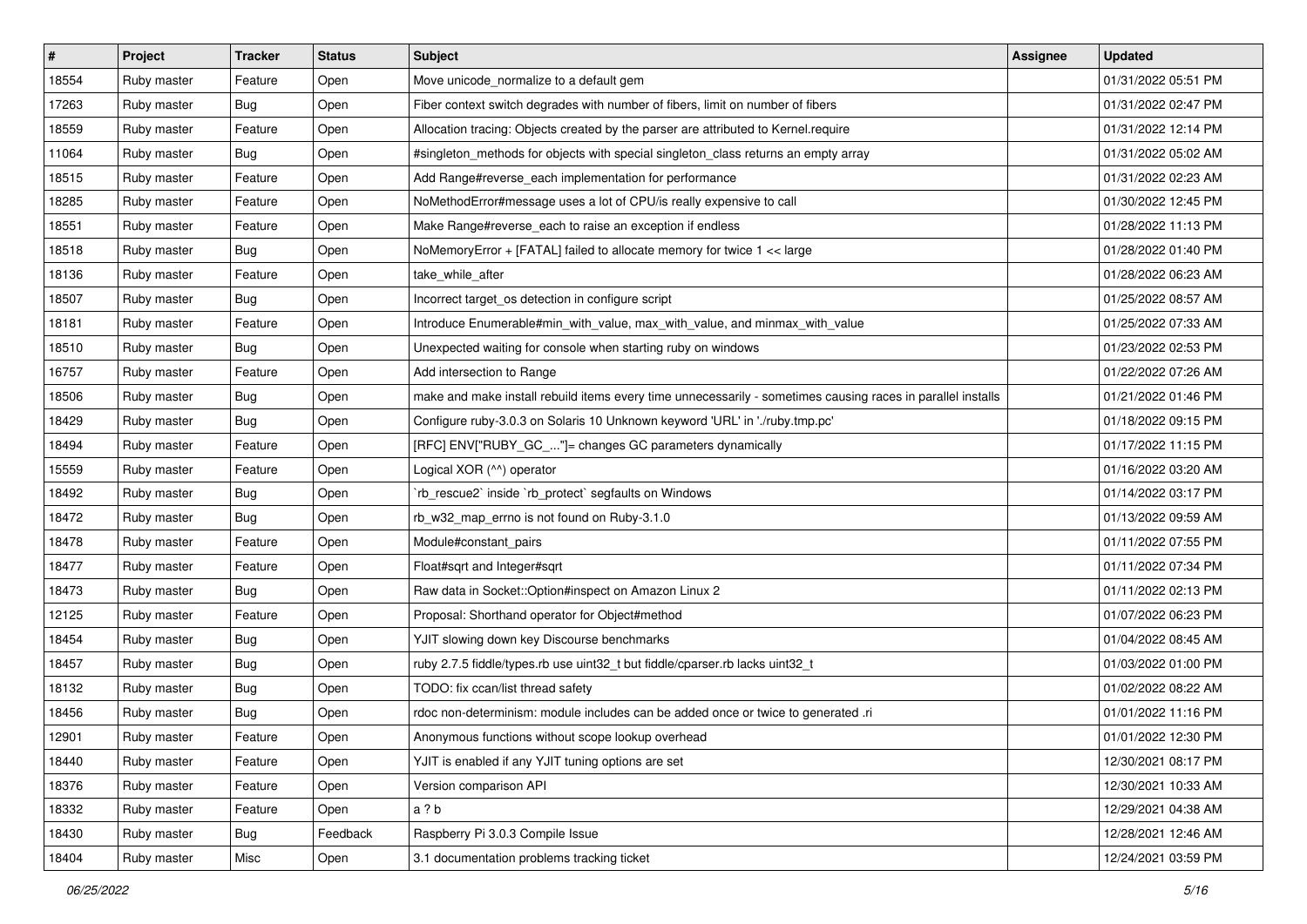| #     | <b>Project</b> | <b>Tracker</b> | <b>Status</b> | <b>Subject</b>                                                                                              | Assignee | <b>Updated</b>      |
|-------|----------------|----------------|---------------|-------------------------------------------------------------------------------------------------------------|----------|---------------------|
| 18554 | Ruby master    | Feature        | Open          | Move unicode_normalize to a default gem                                                                     |          | 01/31/2022 05:51 PM |
| 17263 | Ruby master    | Bug            | Open          | Fiber context switch degrades with number of fibers, limit on number of fibers                              |          | 01/31/2022 02:47 PM |
| 18559 | Ruby master    | Feature        | Open          | Allocation tracing: Objects created by the parser are attributed to Kernel.require                          |          | 01/31/2022 12:14 PM |
| 11064 | Ruby master    | Bug            | Open          | #singleton_methods for objects with special singleton_class returns an empty array                          |          | 01/31/2022 05:02 AM |
| 18515 | Ruby master    | Feature        | Open          | Add Range#reverse_each implementation for performance                                                       |          | 01/31/2022 02:23 AM |
| 18285 | Ruby master    | Feature        | Open          | NoMethodError#message uses a lot of CPU/is really expensive to call                                         |          | 01/30/2022 12:45 PM |
| 18551 | Ruby master    | Feature        | Open          | Make Range#reverse_each to raise an exception if endless                                                    |          | 01/28/2022 11:13 PM |
| 18518 | Ruby master    | <b>Bug</b>     | Open          | NoMemoryError + [FATAL] failed to allocate memory for twice 1 << large                                      |          | 01/28/2022 01:40 PM |
| 18136 | Ruby master    | Feature        | Open          | take_while_after                                                                                            |          | 01/28/2022 06:23 AM |
| 18507 | Ruby master    | <b>Bug</b>     | Open          | Incorrect target_os detection in configure script                                                           |          | 01/25/2022 08:57 AM |
| 18181 | Ruby master    | Feature        | Open          | Introduce Enumerable#min with value, max with value, and minmax with value                                  |          | 01/25/2022 07:33 AM |
| 18510 | Ruby master    | Bug            | Open          | Unexpected waiting for console when starting ruby on windows                                                |          | 01/23/2022 02:53 PM |
| 16757 | Ruby master    | Feature        | Open          | Add intersection to Range                                                                                   |          | 01/22/2022 07:26 AM |
| 18506 | Ruby master    | Bug            | Open          | make and make install rebuild items every time unnecessarily - sometimes causing races in parallel installs |          | 01/21/2022 01:46 PM |
| 18429 | Ruby master    | <b>Bug</b>     | Open          | Configure ruby-3.0.3 on Solaris 10 Unknown keyword 'URL' in './ruby.tmp.pc'                                 |          | 01/18/2022 09:15 PM |
| 18494 | Ruby master    | Feature        | Open          | [RFC] ENV["RUBY_GC_"]= changes GC parameters dynamically                                                    |          | 01/17/2022 11:15 PM |
| 15559 | Ruby master    | Feature        | Open          | Logical XOR (^^) operator                                                                                   |          | 01/16/2022 03:20 AM |
| 18492 | Ruby master    | <b>Bug</b>     | Open          | 'rb_rescue2' inside 'rb_protect' segfaults on Windows                                                       |          | 01/14/2022 03:17 PM |
| 18472 | Ruby master    | Bug            | Open          | rb_w32_map_errno is not found on Ruby-3.1.0                                                                 |          | 01/13/2022 09:59 AM |
| 18478 | Ruby master    | Feature        | Open          | Module#constant_pairs                                                                                       |          | 01/11/2022 07:55 PM |
| 18477 | Ruby master    | Feature        | Open          | Float#sqrt and Integer#sqrt                                                                                 |          | 01/11/2022 07:34 PM |
| 18473 | Ruby master    | Bug            | Open          | Raw data in Socket:: Option#inspect on Amazon Linux 2                                                       |          | 01/11/2022 02:13 PM |
| 12125 | Ruby master    | Feature        | Open          | Proposal: Shorthand operator for Object#method                                                              |          | 01/07/2022 06:23 PM |
| 18454 | Ruby master    | <b>Bug</b>     | Open          | YJIT slowing down key Discourse benchmarks                                                                  |          | 01/04/2022 08:45 AM |
| 18457 | Ruby master    | Bug            | Open          | ruby 2.7.5 fiddle/types.rb use uint32_t but fiddle/cparser.rb lacks uint32_t                                |          | 01/03/2022 01:00 PM |
| 18132 | Ruby master    | Bug            | Open          | TODO: fix ccan/list thread safety                                                                           |          | 01/02/2022 08:22 AM |
| 18456 | Ruby master    | Bug            | Open          | rdoc non-determinism: module includes can be added once or twice to generated .ri                           |          | 01/01/2022 11:16 PM |
| 12901 | Ruby master    | Feature        | Open          | Anonymous functions without scope lookup overhead                                                           |          | 01/01/2022 12:30 PM |
| 18440 | Ruby master    | Feature        | Open          | YJIT is enabled if any YJIT tuning options are set                                                          |          | 12/30/2021 08:17 PM |
| 18376 | Ruby master    | Feature        | Open          | Version comparison API                                                                                      |          | 12/30/2021 10:33 AM |
| 18332 | Ruby master    | Feature        | Open          | a?b                                                                                                         |          | 12/29/2021 04:38 AM |
| 18430 | Ruby master    | Bug            | Feedback      | Raspberry Pi 3.0.3 Compile Issue                                                                            |          | 12/28/2021 12:46 AM |
| 18404 | Ruby master    | Misc           | Open          | 3.1 documentation problems tracking ticket                                                                  |          | 12/24/2021 03:59 PM |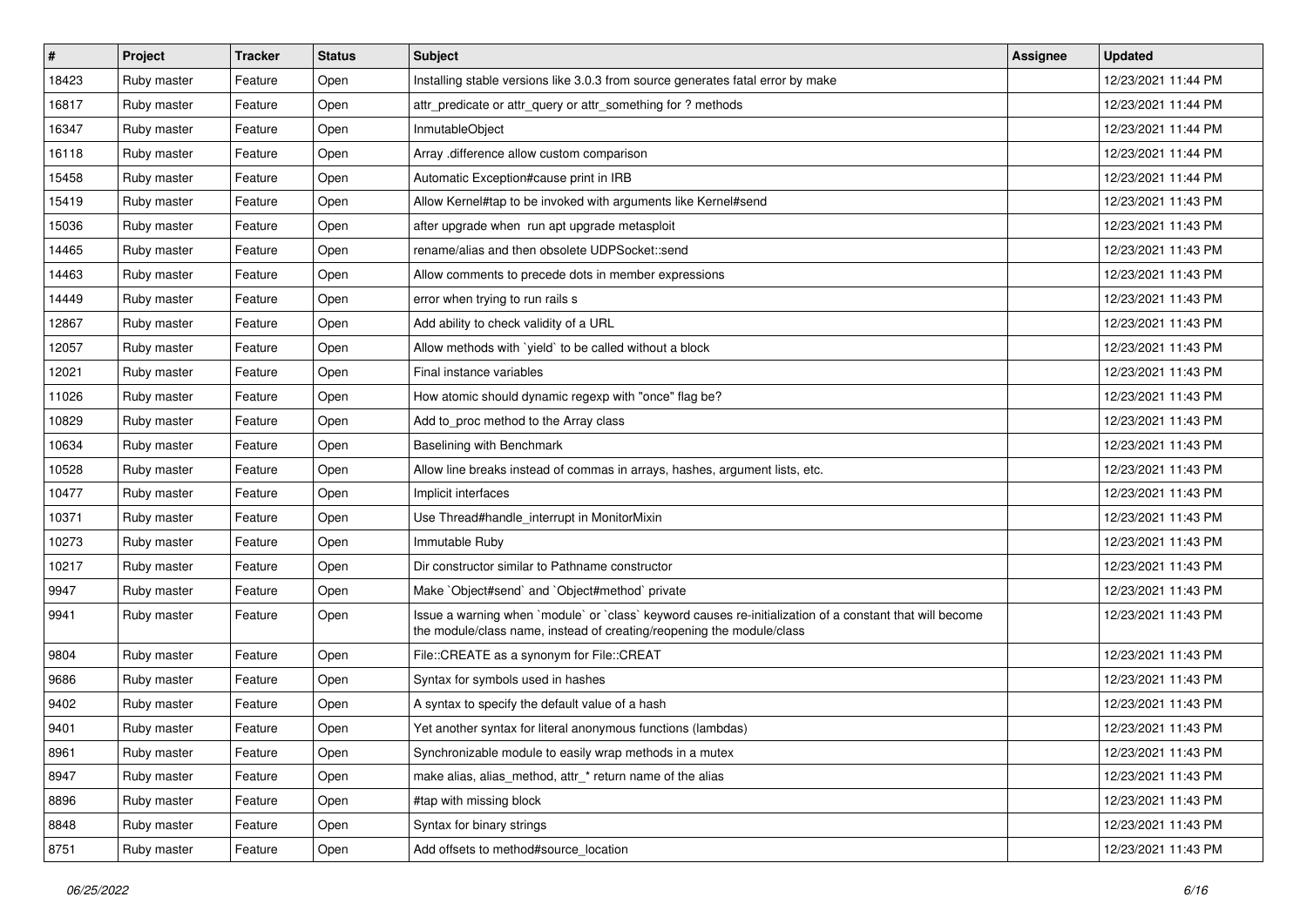| $\vert$ # | Project     | <b>Tracker</b> | <b>Status</b> | <b>Subject</b>                                                                                                                                                                    | <b>Assignee</b> | <b>Updated</b>      |
|-----------|-------------|----------------|---------------|-----------------------------------------------------------------------------------------------------------------------------------------------------------------------------------|-----------------|---------------------|
| 18423     | Ruby master | Feature        | Open          | Installing stable versions like 3.0.3 from source generates fatal error by make                                                                                                   |                 | 12/23/2021 11:44 PM |
| 16817     | Ruby master | Feature        | Open          | attr_predicate or attr_query or attr_something for ? methods                                                                                                                      |                 | 12/23/2021 11:44 PM |
| 16347     | Ruby master | Feature        | Open          | InmutableObject                                                                                                                                                                   |                 | 12/23/2021 11:44 PM |
| 16118     | Ruby master | Feature        | Open          | Array .difference allow custom comparison                                                                                                                                         |                 | 12/23/2021 11:44 PM |
| 15458     | Ruby master | Feature        | Open          | Automatic Exception#cause print in IRB                                                                                                                                            |                 | 12/23/2021 11:44 PM |
| 15419     | Ruby master | Feature        | Open          | Allow Kernel#tap to be invoked with arguments like Kernel#send                                                                                                                    |                 | 12/23/2021 11:43 PM |
| 15036     | Ruby master | Feature        | Open          | after upgrade when run apt upgrade metasploit                                                                                                                                     |                 | 12/23/2021 11:43 PM |
| 14465     | Ruby master | Feature        | Open          | rename/alias and then obsolete UDPSocket::send                                                                                                                                    |                 | 12/23/2021 11:43 PM |
| 14463     | Ruby master | Feature        | Open          | Allow comments to precede dots in member expressions                                                                                                                              |                 | 12/23/2021 11:43 PM |
| 14449     | Ruby master | Feature        | Open          | error when trying to run rails s                                                                                                                                                  |                 | 12/23/2021 11:43 PM |
| 12867     | Ruby master | Feature        | Open          | Add ability to check validity of a URL                                                                                                                                            |                 | 12/23/2021 11:43 PM |
| 12057     | Ruby master | Feature        | Open          | Allow methods with 'yield' to be called without a block                                                                                                                           |                 | 12/23/2021 11:43 PM |
| 12021     | Ruby master | Feature        | Open          | Final instance variables                                                                                                                                                          |                 | 12/23/2021 11:43 PM |
| 11026     | Ruby master | Feature        | Open          | How atomic should dynamic regexp with "once" flag be?                                                                                                                             |                 | 12/23/2021 11:43 PM |
| 10829     | Ruby master | Feature        | Open          | Add to_proc method to the Array class                                                                                                                                             |                 | 12/23/2021 11:43 PM |
| 10634     | Ruby master | Feature        | Open          | Baselining with Benchmark                                                                                                                                                         |                 | 12/23/2021 11:43 PM |
| 10528     | Ruby master | Feature        | Open          | Allow line breaks instead of commas in arrays, hashes, argument lists, etc.                                                                                                       |                 | 12/23/2021 11:43 PM |
| 10477     | Ruby master | Feature        | Open          | Implicit interfaces                                                                                                                                                               |                 | 12/23/2021 11:43 PM |
| 10371     | Ruby master | Feature        | Open          | Use Thread#handle_interrupt in MonitorMixin                                                                                                                                       |                 | 12/23/2021 11:43 PM |
| 10273     | Ruby master | Feature        | Open          | Immutable Ruby                                                                                                                                                                    |                 | 12/23/2021 11:43 PM |
| 10217     | Ruby master | Feature        | Open          | Dir constructor similar to Pathname constructor                                                                                                                                   |                 | 12/23/2021 11:43 PM |
| 9947      | Ruby master | Feature        | Open          | Make `Object#send` and `Object#method` private                                                                                                                                    |                 | 12/23/2021 11:43 PM |
| 9941      | Ruby master | Feature        | Open          | Issue a warning when `module` or `class` keyword causes re-initialization of a constant that will become<br>the module/class name, instead of creating/reopening the module/class |                 | 12/23/2021 11:43 PM |
| 9804      | Ruby master | Feature        | Open          | File::CREATE as a synonym for File::CREAT                                                                                                                                         |                 | 12/23/2021 11:43 PM |
| 9686      | Ruby master | Feature        | Open          | Syntax for symbols used in hashes                                                                                                                                                 |                 | 12/23/2021 11:43 PM |
| 9402      | Ruby master | Feature        | Open          | A syntax to specify the default value of a hash                                                                                                                                   |                 | 12/23/2021 11:43 PM |
| 9401      | Ruby master | Feature        | Open          | Yet another syntax for literal anonymous functions (lambdas)                                                                                                                      |                 | 12/23/2021 11:43 PM |
| 8961      | Ruby master | Feature        | Open          | Synchronizable module to easily wrap methods in a mutex                                                                                                                           |                 | 12/23/2021 11:43 PM |
| 8947      | Ruby master | Feature        | Open          | make alias, alias_method, attr_* return name of the alias                                                                                                                         |                 | 12/23/2021 11:43 PM |
| 8896      | Ruby master | Feature        | Open          | #tap with missing block                                                                                                                                                           |                 | 12/23/2021 11:43 PM |
| 8848      | Ruby master | Feature        | Open          | Syntax for binary strings                                                                                                                                                         |                 | 12/23/2021 11:43 PM |
| 8751      | Ruby master | Feature        | Open          | Add offsets to method#source_location                                                                                                                                             |                 | 12/23/2021 11:43 PM |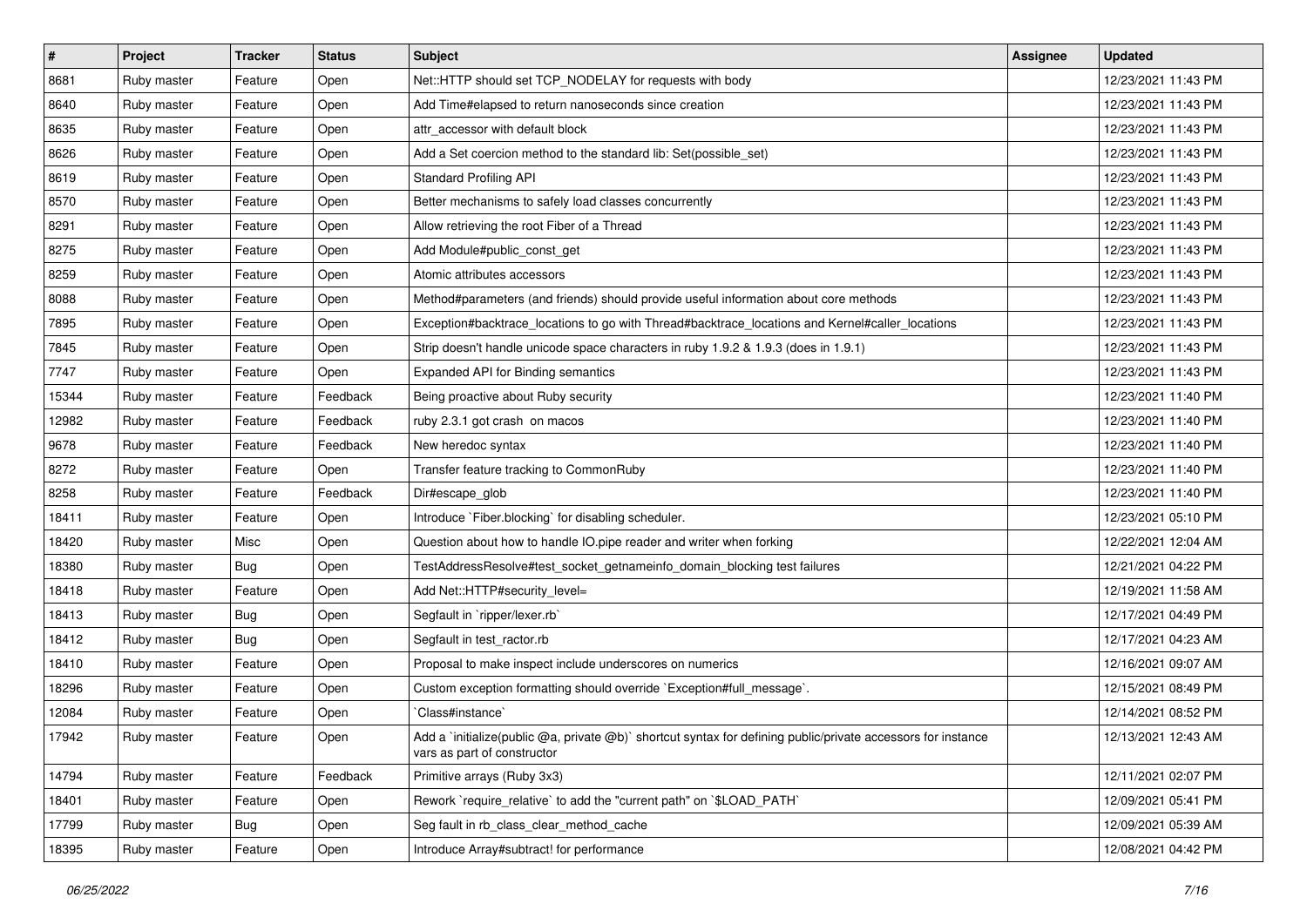| $\vert$ # | Project     | <b>Tracker</b> | <b>Status</b> | <b>Subject</b>                                                                                                                              | <b>Assignee</b> | <b>Updated</b>      |
|-----------|-------------|----------------|---------------|---------------------------------------------------------------------------------------------------------------------------------------------|-----------------|---------------------|
| 8681      | Ruby master | Feature        | Open          | Net::HTTP should set TCP_NODELAY for requests with body                                                                                     |                 | 12/23/2021 11:43 PM |
| 8640      | Ruby master | Feature        | Open          | Add Time#elapsed to return nanoseconds since creation                                                                                       |                 | 12/23/2021 11:43 PM |
| 8635      | Ruby master | Feature        | Open          | attr accessor with default block                                                                                                            |                 | 12/23/2021 11:43 PM |
| 8626      | Ruby master | Feature        | Open          | Add a Set coercion method to the standard lib: Set(possible_set)                                                                            |                 | 12/23/2021 11:43 PM |
| 8619      | Ruby master | Feature        | Open          | <b>Standard Profiling API</b>                                                                                                               |                 | 12/23/2021 11:43 PM |
| 8570      | Ruby master | Feature        | Open          | Better mechanisms to safely load classes concurrently                                                                                       |                 | 12/23/2021 11:43 PM |
| 8291      | Ruby master | Feature        | Open          | Allow retrieving the root Fiber of a Thread                                                                                                 |                 | 12/23/2021 11:43 PM |
| 8275      | Ruby master | Feature        | Open          | Add Module#public_const_get                                                                                                                 |                 | 12/23/2021 11:43 PM |
| 8259      | Ruby master | Feature        | Open          | Atomic attributes accessors                                                                                                                 |                 | 12/23/2021 11:43 PM |
| 8088      | Ruby master | Feature        | Open          | Method#parameters (and friends) should provide useful information about core methods                                                        |                 | 12/23/2021 11:43 PM |
| 7895      | Ruby master | Feature        | Open          | Exception#backtrace_locations to go with Thread#backtrace_locations and Kernel#caller_locations                                             |                 | 12/23/2021 11:43 PM |
| 7845      | Ruby master | Feature        | Open          | Strip doesn't handle unicode space characters in ruby 1.9.2 & 1.9.3 (does in 1.9.1)                                                         |                 | 12/23/2021 11:43 PM |
| 7747      | Ruby master | Feature        | Open          | Expanded API for Binding semantics                                                                                                          |                 | 12/23/2021 11:43 PM |
| 15344     | Ruby master | Feature        | Feedback      | Being proactive about Ruby security                                                                                                         |                 | 12/23/2021 11:40 PM |
| 12982     | Ruby master | Feature        | Feedback      | ruby 2.3.1 got crash on macos                                                                                                               |                 | 12/23/2021 11:40 PM |
| 9678      | Ruby master | Feature        | Feedback      | New heredoc syntax                                                                                                                          |                 | 12/23/2021 11:40 PM |
| 8272      | Ruby master | Feature        | Open          | Transfer feature tracking to CommonRuby                                                                                                     |                 | 12/23/2021 11:40 PM |
| 8258      | Ruby master | Feature        | Feedback      | Dir#escape_glob                                                                                                                             |                 | 12/23/2021 11:40 PM |
| 18411     | Ruby master | Feature        | Open          | Introduce `Fiber.blocking` for disabling scheduler.                                                                                         |                 | 12/23/2021 05:10 PM |
| 18420     | Ruby master | Misc           | Open          | Question about how to handle IO.pipe reader and writer when forking                                                                         |                 | 12/22/2021 12:04 AM |
| 18380     | Ruby master | Bug            | Open          | TestAddressResolve#test_socket_getnameinfo_domain_blocking test failures                                                                    |                 | 12/21/2021 04:22 PM |
| 18418     | Ruby master | Feature        | Open          | Add Net::HTTP#security_level=                                                                                                               |                 | 12/19/2021 11:58 AM |
| 18413     | Ruby master | <b>Bug</b>     | Open          | Segfault in `ripper/lexer.rb`                                                                                                               |                 | 12/17/2021 04:49 PM |
| 18412     | Ruby master | <b>Bug</b>     | Open          | Segfault in test_ractor.rb                                                                                                                  |                 | 12/17/2021 04:23 AM |
| 18410     | Ruby master | Feature        | Open          | Proposal to make inspect include underscores on numerics                                                                                    |                 | 12/16/2021 09:07 AM |
| 18296     | Ruby master | Feature        | Open          | Custom exception formatting should override `Exception#full_message`.                                                                       |                 | 12/15/2021 08:49 PM |
| 12084     | Ruby master | Feature        | Open          | Class#instance`                                                                                                                             |                 | 12/14/2021 08:52 PM |
| 17942     | Ruby master | Feature        | Open          | Add a 'initialize(public @a, private @b)' shortcut syntax for defining public/private accessors for instance<br>vars as part of constructor |                 | 12/13/2021 12:43 AM |
| 14794     | Ruby master | Feature        | Feedback      | Primitive arrays (Ruby 3x3)                                                                                                                 |                 | 12/11/2021 02:07 PM |
| 18401     | Ruby master | Feature        | Open          | Rework `require_relative` to add the "current path" on `\$LOAD_PATH`                                                                        |                 | 12/09/2021 05:41 PM |
| 17799     | Ruby master | <b>Bug</b>     | Open          | Seg fault in rb class clear method cache                                                                                                    |                 | 12/09/2021 05:39 AM |
| 18395     | Ruby master | Feature        | Open          | Introduce Array#subtract! for performance                                                                                                   |                 | 12/08/2021 04:42 PM |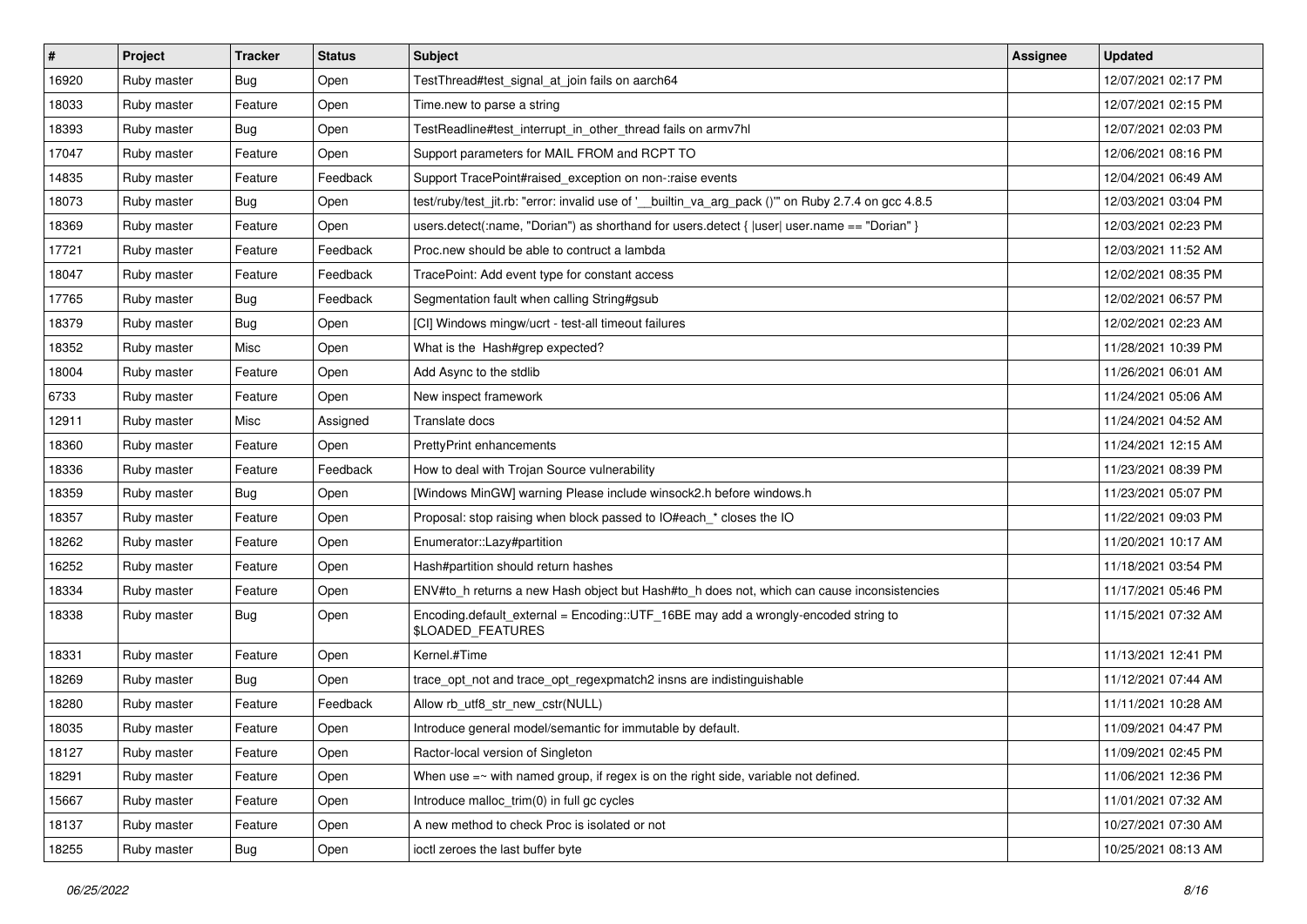| $\sharp$ | Project     | <b>Tracker</b> | <b>Status</b> | <b>Subject</b>                                                                                          | <b>Assignee</b> | <b>Updated</b>      |
|----------|-------------|----------------|---------------|---------------------------------------------------------------------------------------------------------|-----------------|---------------------|
| 16920    | Ruby master | <b>Bug</b>     | Open          | TestThread#test signal at join fails on aarch64                                                         |                 | 12/07/2021 02:17 PM |
| 18033    | Ruby master | Feature        | Open          | Time.new to parse a string                                                                              |                 | 12/07/2021 02:15 PM |
| 18393    | Ruby master | <b>Bug</b>     | Open          | TestReadline#test interrupt in other thread fails on armv7hl                                            |                 | 12/07/2021 02:03 PM |
| 17047    | Ruby master | Feature        | Open          | Support parameters for MAIL FROM and RCPT TO                                                            |                 | 12/06/2021 08:16 PM |
| 14835    | Ruby master | Feature        | Feedback      | Support TracePoint#raised exception on non-:raise events                                                |                 | 12/04/2021 06:49 AM |
| 18073    | Ruby master | <b>Bug</b>     | Open          | test/ruby/test_jit.rb: "error: invalid use of '_builtin_va_arg_pack ()" on Ruby 2.7.4 on gcc 4.8.5      |                 | 12/03/2021 03:04 PM |
| 18369    | Ruby master | Feature        | Open          | users.detect(:name, "Dorian") as shorthand for users.detect { $ user $ user.name == "Dorian" }          |                 | 12/03/2021 02:23 PM |
| 17721    | Ruby master | Feature        | Feedback      | Proc.new should be able to contruct a lambda                                                            |                 | 12/03/2021 11:52 AM |
| 18047    | Ruby master | Feature        | Feedback      | TracePoint: Add event type for constant access                                                          |                 | 12/02/2021 08:35 PM |
| 17765    | Ruby master | <b>Bug</b>     | Feedback      | Segmentation fault when calling String#gsub                                                             |                 | 12/02/2021 06:57 PM |
| 18379    | Ruby master | <b>Bug</b>     | Open          | [CI] Windows mingw/ucrt - test-all timeout failures                                                     |                 | 12/02/2021 02:23 AM |
| 18352    | Ruby master | Misc           | Open          | What is the Hash#grep expected?                                                                         |                 | 11/28/2021 10:39 PM |
| 18004    | Ruby master | Feature        | Open          | Add Async to the stdlib                                                                                 |                 | 11/26/2021 06:01 AM |
| 6733     | Ruby master | Feature        | Open          | New inspect framework                                                                                   |                 | 11/24/2021 05:06 AM |
| 12911    | Ruby master | Misc           | Assianed      | Translate docs                                                                                          |                 | 11/24/2021 04:52 AM |
| 18360    | Ruby master | Feature        | Open          | PrettyPrint enhancements                                                                                |                 | 11/24/2021 12:15 AM |
| 18336    | Ruby master | Feature        | Feedback      | How to deal with Trojan Source vulnerability                                                            |                 | 11/23/2021 08:39 PM |
| 18359    | Ruby master | <b>Bug</b>     | Open          | [Windows MinGW] warning Please include winsock2.h before windows.h                                      |                 | 11/23/2021 05:07 PM |
| 18357    | Ruby master | Feature        | Open          | Proposal: stop raising when block passed to IO#each_* closes the IO                                     |                 | 11/22/2021 09:03 PM |
| 18262    | Ruby master | Feature        | Open          | Enumerator::Lazy#partition                                                                              |                 | 11/20/2021 10:17 AM |
| 16252    | Ruby master | Feature        | Open          | Hash#partition should return hashes                                                                     |                 | 11/18/2021 03:54 PM |
| 18334    | Ruby master | Feature        | Open          | ENV#to_h returns a new Hash object but Hash#to_h does not, which can cause inconsistencies              |                 | 11/17/2021 05:46 PM |
| 18338    | Ruby master | <b>Bug</b>     | Open          | Encoding.default_external = Encoding::UTF_16BE may add a wrongly-encoded string to<br>\$LOADED_FEATURES |                 | 11/15/2021 07:32 AM |
| 18331    | Ruby master | Feature        | Open          | Kernel.#Time                                                                                            |                 | 11/13/2021 12:41 PM |
| 18269    | Ruby master | <b>Bug</b>     | Open          | trace_opt_not and trace_opt_regexpmatch2 insns are indistinguishable                                    |                 | 11/12/2021 07:44 AM |
| 18280    | Ruby master | Feature        | Feedback      | Allow rb_utf8_str_new_cstr(NULL)                                                                        |                 | 11/11/2021 10:28 AM |
| 18035    | Ruby master | Feature        | Open          | Introduce general model/semantic for immutable by default.                                              |                 | 11/09/2021 04:47 PM |
| 18127    | Ruby master | Feature        | Open          | Ractor-local version of Singleton                                                                       |                 | 11/09/2021 02:45 PM |
| 18291    | Ruby master | Feature        | Open          | When use $=\sim$ with named group, if regex is on the right side, variable not defined.                 |                 | 11/06/2021 12:36 PM |
| 15667    | Ruby master | Feature        | Open          | Introduce malloc_trim(0) in full gc cycles                                                              |                 | 11/01/2021 07:32 AM |
| 18137    | Ruby master | Feature        | Open          | A new method to check Proc is isolated or not                                                           |                 | 10/27/2021 07:30 AM |
| 18255    | Ruby master | Bug            | Open          | ioctl zeroes the last buffer byte                                                                       |                 | 10/25/2021 08:13 AM |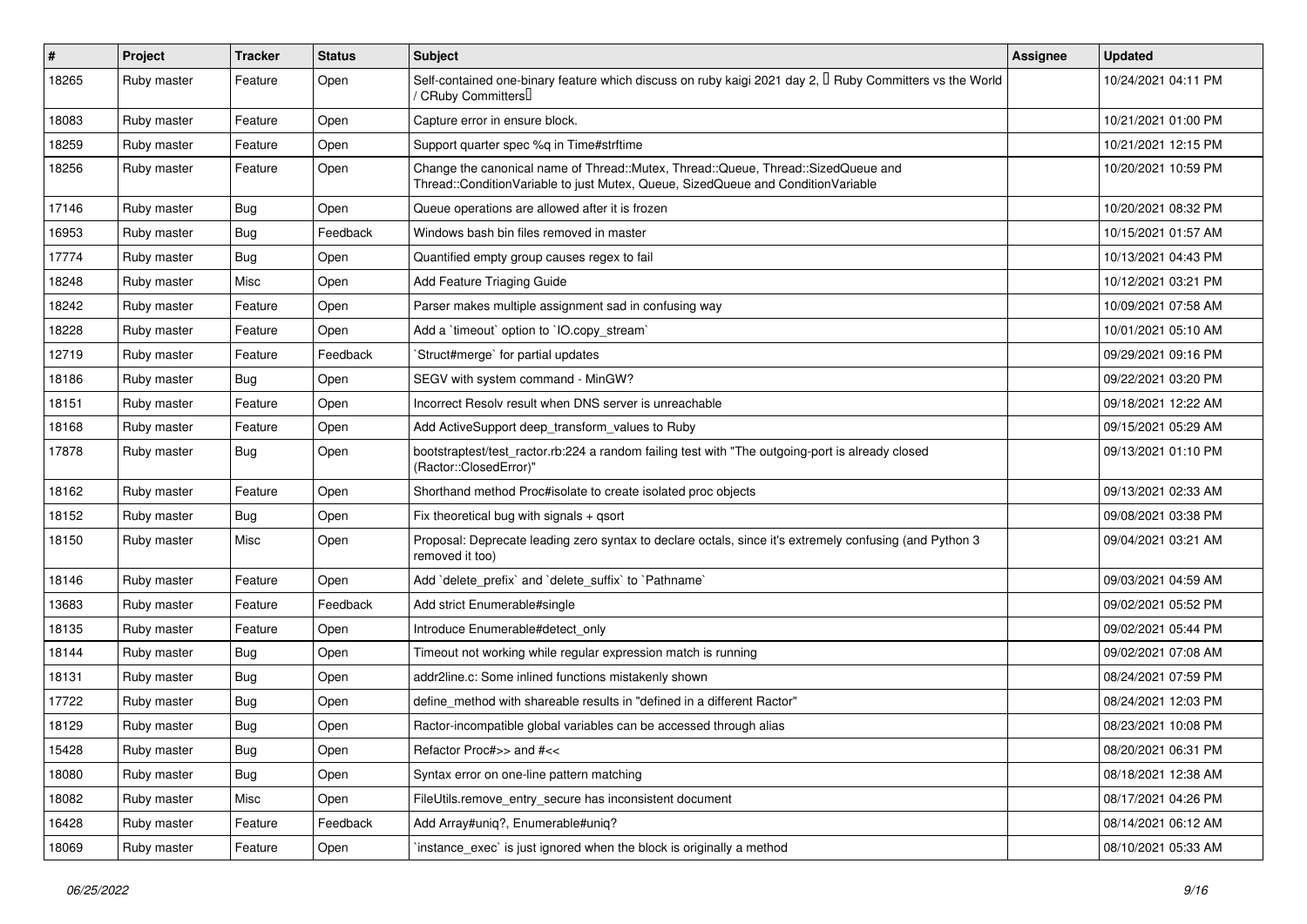| #     | Project     | <b>Tracker</b> | <b>Status</b> | <b>Subject</b>                                                                                                                                                        | <b>Assignee</b> | <b>Updated</b>      |
|-------|-------------|----------------|---------------|-----------------------------------------------------------------------------------------------------------------------------------------------------------------------|-----------------|---------------------|
| 18265 | Ruby master | Feature        | Open          | Self-contained one-binary feature which discuss on ruby kaigi 2021 day 2, I Ruby Committers vs the World<br>/ CRuby Committers∐                                       |                 | 10/24/2021 04:11 PM |
| 18083 | Ruby master | Feature        | Open          | Capture error in ensure block.                                                                                                                                        |                 | 10/21/2021 01:00 PM |
| 18259 | Ruby master | Feature        | Open          | Support quarter spec %q in Time#strftime                                                                                                                              |                 | 10/21/2021 12:15 PM |
| 18256 | Ruby master | Feature        | Open          | Change the canonical name of Thread::Mutex, Thread::Queue, Thread::SizedQueue and<br>Thread::ConditionVariable to just Mutex, Queue, SizedQueue and ConditionVariable |                 | 10/20/2021 10:59 PM |
| 17146 | Ruby master | Bug            | Open          | Queue operations are allowed after it is frozen                                                                                                                       |                 | 10/20/2021 08:32 PM |
| 16953 | Ruby master | <b>Bug</b>     | Feedback      | Windows bash bin files removed in master                                                                                                                              |                 | 10/15/2021 01:57 AM |
| 17774 | Ruby master | <b>Bug</b>     | Open          | Quantified empty group causes regex to fail                                                                                                                           |                 | 10/13/2021 04:43 PM |
| 18248 | Ruby master | Misc           | Open          | Add Feature Triaging Guide                                                                                                                                            |                 | 10/12/2021 03:21 PM |
| 18242 | Ruby master | Feature        | Open          | Parser makes multiple assignment sad in confusing way                                                                                                                 |                 | 10/09/2021 07:58 AM |
| 18228 | Ruby master | Feature        | Open          | Add a 'timeout' option to 'IO.copy_stream'                                                                                                                            |                 | 10/01/2021 05:10 AM |
| 12719 | Ruby master | Feature        | Feedback      | Struct#merge' for partial updates                                                                                                                                     |                 | 09/29/2021 09:16 PM |
| 18186 | Ruby master | <b>Bug</b>     | Open          | SEGV with system command - MinGW?                                                                                                                                     |                 | 09/22/2021 03:20 PM |
| 18151 | Ruby master | Feature        | Open          | Incorrect Resolv result when DNS server is unreachable                                                                                                                |                 | 09/18/2021 12:22 AM |
| 18168 | Ruby master | Feature        | Open          | Add ActiveSupport deep transform values to Ruby                                                                                                                       |                 | 09/15/2021 05:29 AM |
| 17878 | Ruby master | <b>Bug</b>     | Open          | bootstraptest/test_ractor.rb:224 a random failing test with "The outgoing-port is already closed<br>(Ractor::ClosedError)"                                            |                 | 09/13/2021 01:10 PM |
| 18162 | Ruby master | Feature        | Open          | Shorthand method Proc#isolate to create isolated proc objects                                                                                                         |                 | 09/13/2021 02:33 AM |
| 18152 | Ruby master | Bug            | Open          | Fix theoretical bug with signals $+$ qsort                                                                                                                            |                 | 09/08/2021 03:38 PM |
| 18150 | Ruby master | Misc           | Open          | Proposal: Deprecate leading zero syntax to declare octals, since it's extremely confusing (and Python 3<br>removed it too)                                            |                 | 09/04/2021 03:21 AM |
| 18146 | Ruby master | Feature        | Open          | Add 'delete_prefix' and 'delete_suffix' to 'Pathname'                                                                                                                 |                 | 09/03/2021 04:59 AM |
| 13683 | Ruby master | Feature        | Feedback      | Add strict Enumerable#single                                                                                                                                          |                 | 09/02/2021 05:52 PM |
| 18135 | Ruby master | Feature        | Open          | Introduce Enumerable#detect_only                                                                                                                                      |                 | 09/02/2021 05:44 PM |
| 18144 | Ruby master | Bug            | Open          | Timeout not working while regular expression match is running                                                                                                         |                 | 09/02/2021 07:08 AM |
| 18131 | Ruby master | <b>Bug</b>     | Open          | addr2line.c: Some inlined functions mistakenly shown                                                                                                                  |                 | 08/24/2021 07:59 PM |
| 17722 | Ruby master | <b>Bug</b>     | Open          | define method with shareable results in "defined in a different Ractor"                                                                                               |                 | 08/24/2021 12:03 PM |
| 18129 | Ruby master | <b>Bug</b>     | Open          | Ractor-incompatible global variables can be accessed through alias                                                                                                    |                 | 08/23/2021 10:08 PM |
| 15428 | Ruby master | Bug            | Open          | Refactor Proc#>> and #<<                                                                                                                                              |                 | 08/20/2021 06:31 PM |
| 18080 | Ruby master | Bug            | Open          | Syntax error on one-line pattern matching                                                                                                                             |                 | 08/18/2021 12:38 AM |
| 18082 | Ruby master | Misc           | Open          | FileUtils.remove_entry_secure has inconsistent document                                                                                                               |                 | 08/17/2021 04:26 PM |
| 16428 | Ruby master | Feature        | Feedback      | Add Array#uniq?, Enumerable#uniq?                                                                                                                                     |                 | 08/14/2021 06:12 AM |
| 18069 | Ruby master | Feature        | Open          | instance_exec` is just ignored when the block is originally a method                                                                                                  |                 | 08/10/2021 05:33 AM |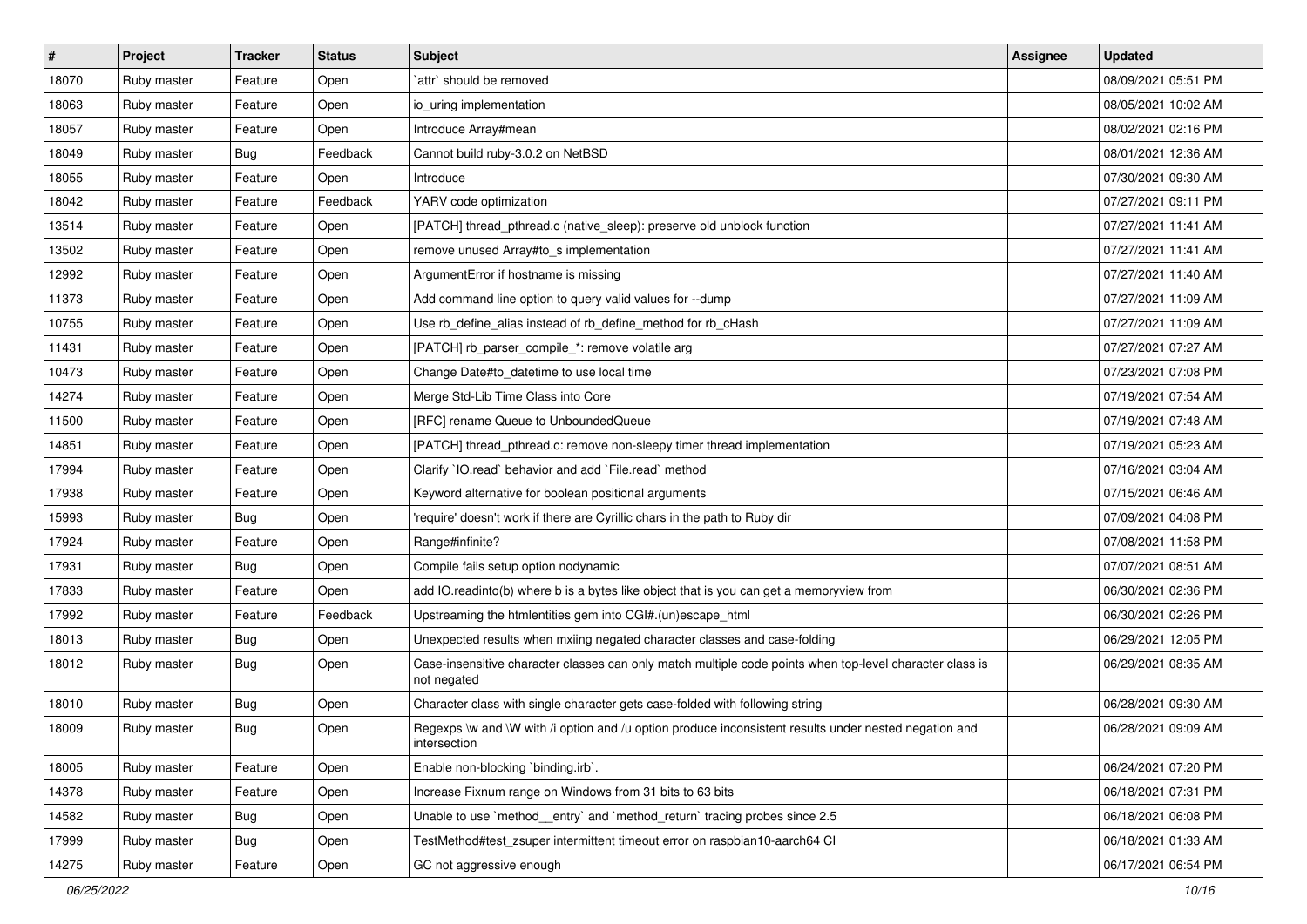| $\sharp$ | <b>Project</b> | <b>Tracker</b> | <b>Status</b> | <b>Subject</b>                                                                                                          | <b>Assignee</b> | <b>Updated</b>      |
|----------|----------------|----------------|---------------|-------------------------------------------------------------------------------------------------------------------------|-----------------|---------------------|
| 18070    | Ruby master    | Feature        | Open          | `attr` should be removed                                                                                                |                 | 08/09/2021 05:51 PM |
| 18063    | Ruby master    | Feature        | Open          | io uring implementation                                                                                                 |                 | 08/05/2021 10:02 AM |
| 18057    | Ruby master    | Feature        | Open          | Introduce Array#mean                                                                                                    |                 | 08/02/2021 02:16 PM |
| 18049    | Ruby master    | Bug            | Feedback      | Cannot build ruby-3.0.2 on NetBSD                                                                                       |                 | 08/01/2021 12:36 AM |
| 18055    | Ruby master    | Feature        | Open          | Introduce                                                                                                               |                 | 07/30/2021 09:30 AM |
| 18042    | Ruby master    | Feature        | Feedback      | YARV code optimization                                                                                                  |                 | 07/27/2021 09:11 PM |
| 13514    | Ruby master    | Feature        | Open          | [PATCH] thread_pthread.c (native_sleep): preserve old unblock function                                                  |                 | 07/27/2021 11:41 AM |
| 13502    | Ruby master    | Feature        | Open          | remove unused Array#to_s implementation                                                                                 |                 | 07/27/2021 11:41 AM |
| 12992    | Ruby master    | Feature        | Open          | ArgumentError if hostname is missing                                                                                    |                 | 07/27/2021 11:40 AM |
| 11373    | Ruby master    | Feature        | Open          | Add command line option to query valid values for --dump                                                                |                 | 07/27/2021 11:09 AM |
| 10755    | Ruby master    | Feature        | Open          | Use rb_define_alias instead of rb_define_method for rb_cHash                                                            |                 | 07/27/2021 11:09 AM |
| 11431    | Ruby master    | Feature        | Open          | [PATCH] rb_parser_compile_*: remove volatile arg                                                                        |                 | 07/27/2021 07:27 AM |
| 10473    | Ruby master    | Feature        | Open          | Change Date#to datetime to use local time                                                                               |                 | 07/23/2021 07:08 PM |
| 14274    | Ruby master    | Feature        | Open          | Merge Std-Lib Time Class into Core                                                                                      |                 | 07/19/2021 07:54 AM |
| 11500    | Ruby master    | Feature        | Open          | [RFC] rename Queue to UnboundedQueue                                                                                    |                 | 07/19/2021 07:48 AM |
| 14851    | Ruby master    | Feature        | Open          | [PATCH] thread_pthread.c: remove non-sleepy timer thread implementation                                                 |                 | 07/19/2021 05:23 AM |
| 17994    | Ruby master    | Feature        | Open          | Clarify `IO.read` behavior and add `File.read` method                                                                   |                 | 07/16/2021 03:04 AM |
| 17938    | Ruby master    | Feature        | Open          | Keyword alternative for boolean positional arguments                                                                    |                 | 07/15/2021 06:46 AM |
| 15993    | Ruby master    | <b>Bug</b>     | Open          | 'require' doesn't work if there are Cyrillic chars in the path to Ruby dir                                              |                 | 07/09/2021 04:08 PM |
| 17924    | Ruby master    | Feature        | Open          | Range#infinite?                                                                                                         |                 | 07/08/2021 11:58 PM |
| 17931    | Ruby master    | <b>Bug</b>     | Open          | Compile fails setup option nodynamic                                                                                    |                 | 07/07/2021 08:51 AM |
| 17833    | Ruby master    | Feature        | Open          | add IO.readinto(b) where b is a bytes like object that is you can get a memoryview from                                 |                 | 06/30/2021 02:36 PM |
| 17992    | Ruby master    | Feature        | Feedback      | Upstreaming the htmlentities gem into CGI#.(un)escape_html                                                              |                 | 06/30/2021 02:26 PM |
| 18013    | Ruby master    | <b>Bug</b>     | Open          | Unexpected results when mxiing negated character classes and case-folding                                               |                 | 06/29/2021 12:05 PM |
| 18012    | Ruby master    | <b>Bug</b>     | Open          | Case-insensitive character classes can only match multiple code points when top-level character class is<br>not negated |                 | 06/29/2021 08:35 AM |
| 18010    | Ruby master    | <b>Bug</b>     | Open          | Character class with single character gets case-folded with following string                                            |                 | 06/28/2021 09:30 AM |
| 18009    | Ruby master    | <b>Bug</b>     | Open          | Regexps \w and \W with /i option and /u option produce inconsistent results under nested negation and<br>intersection   |                 | 06/28/2021 09:09 AM |
| 18005    | Ruby master    | Feature        | Open          | Enable non-blocking `binding.irb`.                                                                                      |                 | 06/24/2021 07:20 PM |
| 14378    | Ruby master    | Feature        | Open          | Increase Fixnum range on Windows from 31 bits to 63 bits                                                                |                 | 06/18/2021 07:31 PM |
| 14582    | Ruby master    | <b>Bug</b>     | Open          | Unable to use `method_entry` and `method_return` tracing probes since 2.5                                               |                 | 06/18/2021 06:08 PM |
| 17999    | Ruby master    | <b>Bug</b>     | Open          | TestMethod#test zsuper intermittent timeout error on raspbian10-aarch64 CI                                              |                 | 06/18/2021 01:33 AM |
| 14275    | Ruby master    | Feature        | Open          | GC not aggressive enough                                                                                                |                 | 06/17/2021 06:54 PM |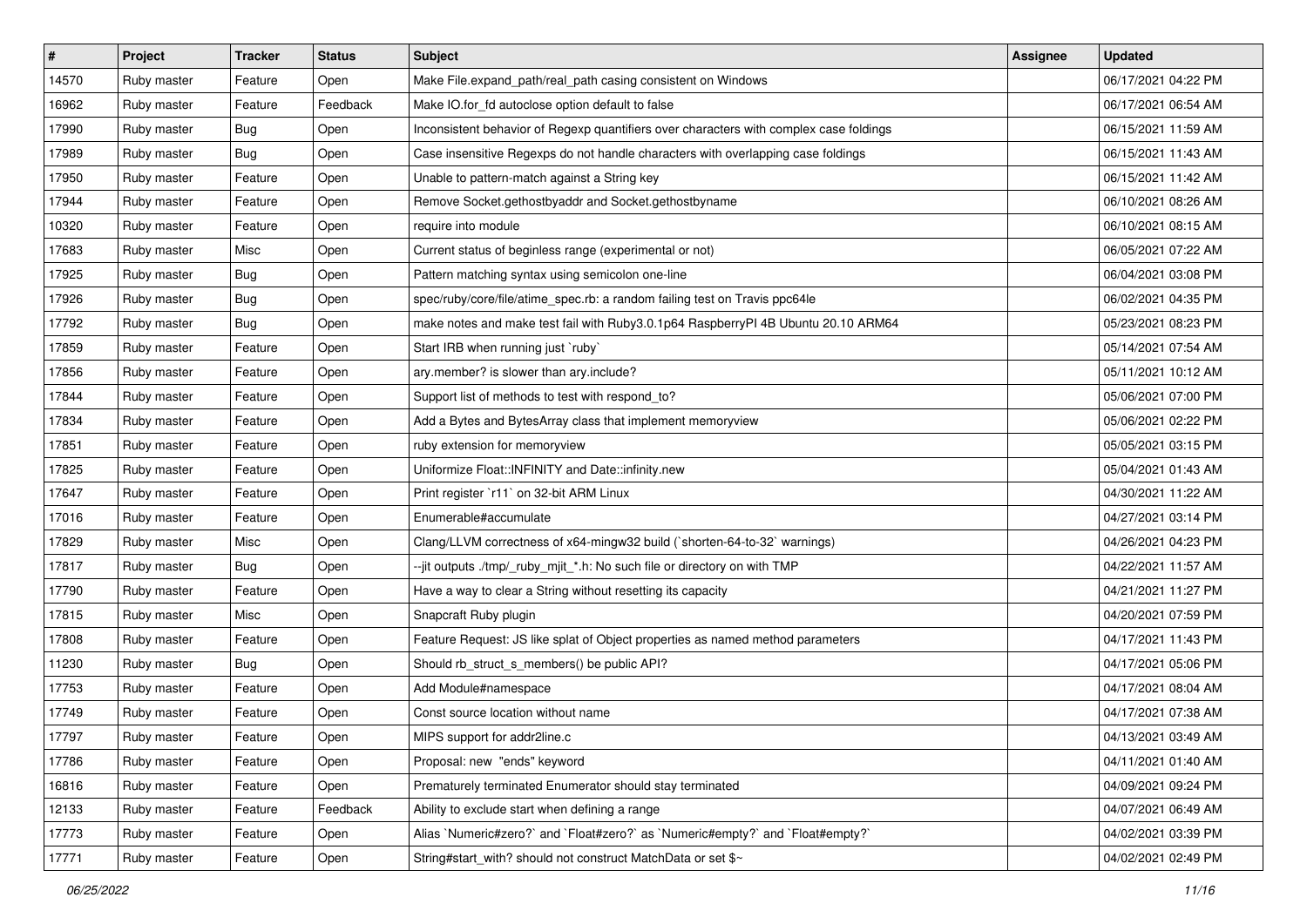| #     | <b>Project</b> | <b>Tracker</b> | <b>Status</b> | <b>Subject</b>                                                                         | Assignee | <b>Updated</b>      |
|-------|----------------|----------------|---------------|----------------------------------------------------------------------------------------|----------|---------------------|
| 14570 | Ruby master    | Feature        | Open          | Make File.expand_path/real_path casing consistent on Windows                           |          | 06/17/2021 04:22 PM |
| 16962 | Ruby master    | Feature        | Feedback      | Make IO.for_fd autoclose option default to false                                       |          | 06/17/2021 06:54 AM |
| 17990 | Ruby master    | <b>Bug</b>     | Open          | Inconsistent behavior of Regexp quantifiers over characters with complex case foldings |          | 06/15/2021 11:59 AM |
| 17989 | Ruby master    | Bug            | Open          | Case insensitive Regexps do not handle characters with overlapping case foldings       |          | 06/15/2021 11:43 AM |
| 17950 | Ruby master    | Feature        | Open          | Unable to pattern-match against a String key                                           |          | 06/15/2021 11:42 AM |
| 17944 | Ruby master    | Feature        | Open          | Remove Socket.gethostbyaddr and Socket.gethostbyname                                   |          | 06/10/2021 08:26 AM |
| 10320 | Ruby master    | Feature        | Open          | require into module                                                                    |          | 06/10/2021 08:15 AM |
| 17683 | Ruby master    | Misc           | Open          | Current status of beginless range (experimental or not)                                |          | 06/05/2021 07:22 AM |
| 17925 | Ruby master    | <b>Bug</b>     | Open          | Pattern matching syntax using semicolon one-line                                       |          | 06/04/2021 03:08 PM |
| 17926 | Ruby master    | <b>Bug</b>     | Open          | spec/ruby/core/file/atime_spec.rb: a random failing test on Travis ppc64le             |          | 06/02/2021 04:35 PM |
| 17792 | Ruby master    | Bug            | Open          | make notes and make test fail with Ruby3.0.1p64 RaspberryPI 4B Ubuntu 20.10 ARM64      |          | 05/23/2021 08:23 PM |
| 17859 | Ruby master    | Feature        | Open          | Start IRB when running just `ruby`                                                     |          | 05/14/2021 07:54 AM |
| 17856 | Ruby master    | Feature        | Open          | ary.member? is slower than ary.include?                                                |          | 05/11/2021 10:12 AM |
| 17844 | Ruby master    | Feature        | Open          | Support list of methods to test with respond_to?                                       |          | 05/06/2021 07:00 PM |
| 17834 | Ruby master    | Feature        | Open          | Add a Bytes and BytesArray class that implement memoryview                             |          | 05/06/2021 02:22 PM |
| 17851 | Ruby master    | Feature        | Open          | ruby extension for memoryview                                                          |          | 05/05/2021 03:15 PM |
| 17825 | Ruby master    | Feature        | Open          | Uniformize Float::INFINITY and Date::infinity.new                                      |          | 05/04/2021 01:43 AM |
| 17647 | Ruby master    | Feature        | Open          | Print register `r11` on 32-bit ARM Linux                                               |          | 04/30/2021 11:22 AM |
| 17016 | Ruby master    | Feature        | Open          | Enumerable#accumulate                                                                  |          | 04/27/2021 03:14 PM |
| 17829 | Ruby master    | Misc           | Open          | Clang/LLVM correctness of x64-mingw32 build (`shorten-64-to-32` warnings)              |          | 04/26/2021 04:23 PM |
| 17817 | Ruby master    | Bug            | Open          | --jit outputs ./tmp/_ruby_mjit_*.h: No such file or directory on with TMP              |          | 04/22/2021 11:57 AM |
| 17790 | Ruby master    | Feature        | Open          | Have a way to clear a String without resetting its capacity                            |          | 04/21/2021 11:27 PM |
| 17815 | Ruby master    | Misc           | Open          | Snapcraft Ruby plugin                                                                  |          | 04/20/2021 07:59 PM |
| 17808 | Ruby master    | Feature        | Open          | Feature Request: JS like splat of Object properties as named method parameters         |          | 04/17/2021 11:43 PM |
| 11230 | Ruby master    | Bug            | Open          | Should rb_struct_s_members() be public API?                                            |          | 04/17/2021 05:06 PM |
| 17753 | Ruby master    | Feature        | Open          | Add Module#namespace                                                                   |          | 04/17/2021 08:04 AM |
| 17749 | Ruby master    | Feature        | Open          | Const source location without name                                                     |          | 04/17/2021 07:38 AM |
| 17797 | Ruby master    | Feature        | Open          | MIPS support for addr2line.c                                                           |          | 04/13/2021 03:49 AM |
| 17786 | Ruby master    | Feature        | Open          | Proposal: new "ends" keyword                                                           |          | 04/11/2021 01:40 AM |
| 16816 | Ruby master    | Feature        | Open          | Prematurely terminated Enumerator should stay terminated                               |          | 04/09/2021 09:24 PM |
| 12133 | Ruby master    | Feature        | Feedback      | Ability to exclude start when defining a range                                         |          | 04/07/2021 06:49 AM |
| 17773 | Ruby master    | Feature        | Open          | Alias `Numeric#zero?` and `Float#zero?` as `Numeric#empty?` and `Float#empty?`         |          | 04/02/2021 03:39 PM |
| 17771 | Ruby master    | Feature        | Open          | String#start_with? should not construct MatchData or set \$~                           |          | 04/02/2021 02:49 PM |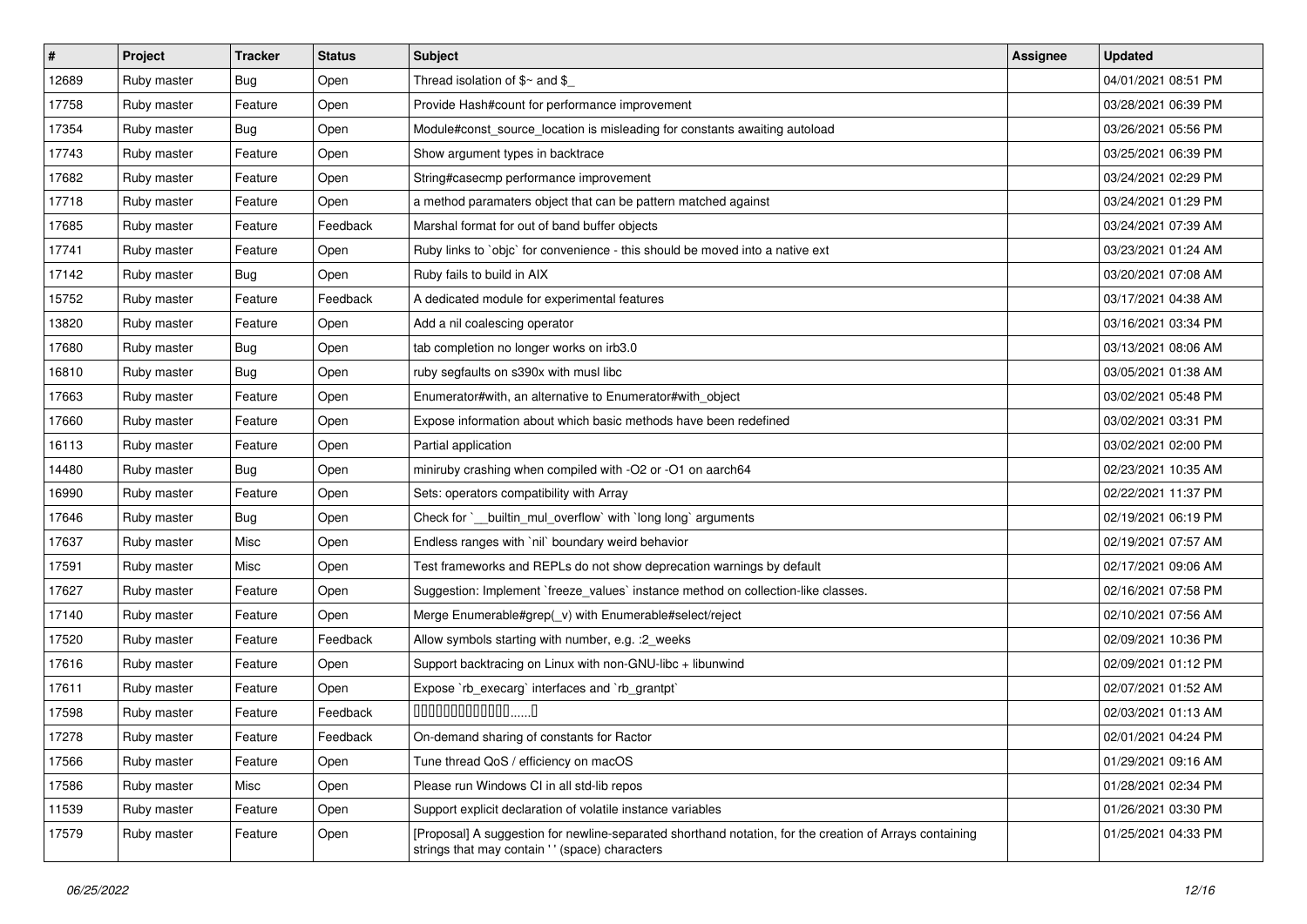| $\sharp$ | Project     | <b>Tracker</b> | <b>Status</b> | Subject                                                                                                                                                   | <b>Assignee</b> | <b>Updated</b>      |
|----------|-------------|----------------|---------------|-----------------------------------------------------------------------------------------------------------------------------------------------------------|-----------------|---------------------|
| 12689    | Ruby master | Bug            | Open          | Thread isolation of $$~$ and $$$                                                                                                                          |                 | 04/01/2021 08:51 PM |
| 17758    | Ruby master | Feature        | Open          | Provide Hash#count for performance improvement                                                                                                            |                 | 03/28/2021 06:39 PM |
| 17354    | Ruby master | <b>Bug</b>     | Open          | Module#const_source_location is misleading for constants awaiting autoload                                                                                |                 | 03/26/2021 05:56 PM |
| 17743    | Ruby master | Feature        | Open          | Show argument types in backtrace                                                                                                                          |                 | 03/25/2021 06:39 PM |
| 17682    | Ruby master | Feature        | Open          | String#casecmp performance improvement                                                                                                                    |                 | 03/24/2021 02:29 PM |
| 17718    | Ruby master | Feature        | Open          | a method paramaters object that can be pattern matched against                                                                                            |                 | 03/24/2021 01:29 PM |
| 17685    | Ruby master | Feature        | Feedback      | Marshal format for out of band buffer objects                                                                                                             |                 | 03/24/2021 07:39 AM |
| 17741    | Ruby master | Feature        | Open          | Ruby links to `objc` for convenience - this should be moved into a native ext                                                                             |                 | 03/23/2021 01:24 AM |
| 17142    | Ruby master | <b>Bug</b>     | Open          | Ruby fails to build in AIX                                                                                                                                |                 | 03/20/2021 07:08 AM |
| 15752    | Ruby master | Feature        | Feedback      | A dedicated module for experimental features                                                                                                              |                 | 03/17/2021 04:38 AM |
| 13820    | Ruby master | Feature        | Open          | Add a nil coalescing operator                                                                                                                             |                 | 03/16/2021 03:34 PM |
| 17680    | Ruby master | Bug            | Open          | tab completion no longer works on irb3.0                                                                                                                  |                 | 03/13/2021 08:06 AM |
| 16810    | Ruby master | <b>Bug</b>     | Open          | ruby segfaults on s390x with musl libc                                                                                                                    |                 | 03/05/2021 01:38 AM |
| 17663    | Ruby master | Feature        | Open          | Enumerator#with, an alternative to Enumerator#with_object                                                                                                 |                 | 03/02/2021 05:48 PM |
| 17660    | Ruby master | Feature        | Open          | Expose information about which basic methods have been redefined                                                                                          |                 | 03/02/2021 03:31 PM |
| 16113    | Ruby master | Feature        | Open          | Partial application                                                                                                                                       |                 | 03/02/2021 02:00 PM |
| 14480    | Ruby master | <b>Bug</b>     | Open          | miniruby crashing when compiled with -O2 or -O1 on aarch64                                                                                                |                 | 02/23/2021 10:35 AM |
| 16990    | Ruby master | Feature        | Open          | Sets: operators compatibility with Array                                                                                                                  |                 | 02/22/2021 11:37 PM |
| 17646    | Ruby master | Bug            | Open          | Check for `__builtin_mul_overflow` with `long long` arguments                                                                                             |                 | 02/19/2021 06:19 PM |
| 17637    | Ruby master | Misc           | Open          | Endless ranges with 'nil' boundary weird behavior                                                                                                         |                 | 02/19/2021 07:57 AM |
| 17591    | Ruby master | Misc           | Open          | Test frameworks and REPLs do not show deprecation warnings by default                                                                                     |                 | 02/17/2021 09:06 AM |
| 17627    | Ruby master | Feature        | Open          | Suggestion: Implement `freeze_values` instance method on collection-like classes.                                                                         |                 | 02/16/2021 07:58 PM |
| 17140    | Ruby master | Feature        | Open          | Merge Enumerable#grep(_v) with Enumerable#select/reject                                                                                                   |                 | 02/10/2021 07:56 AM |
| 17520    | Ruby master | Feature        | Feedback      | Allow symbols starting with number, e.g. : 2_weeks                                                                                                        |                 | 02/09/2021 10:36 PM |
| 17616    | Ruby master | Feature        | Open          | Support backtracing on Linux with non-GNU-libc + libunwind                                                                                                |                 | 02/09/2021 01:12 PM |
| 17611    | Ruby master | Feature        | Open          | Expose `rb_execarg` interfaces and `rb_grantpt`                                                                                                           |                 | 02/07/2021 01:52 AM |
| 17598    | Ruby master | Feature        | Feedback      | $0000000000000010$                                                                                                                                        |                 | 02/03/2021 01:13 AM |
| 17278    | Ruby master | Feature        | Feedback      | On-demand sharing of constants for Ractor                                                                                                                 |                 | 02/01/2021 04:24 PM |
| 17566    | Ruby master | Feature        | Open          | Tune thread QoS / efficiency on macOS                                                                                                                     |                 | 01/29/2021 09:16 AM |
| 17586    | Ruby master | Misc           | Open          | Please run Windows CI in all std-lib repos                                                                                                                |                 | 01/28/2021 02:34 PM |
| 11539    | Ruby master | Feature        | Open          | Support explicit declaration of volatile instance variables                                                                                               |                 | 01/26/2021 03:30 PM |
| 17579    | Ruby master | Feature        | Open          | [Proposal] A suggestion for newline-separated shorthand notation, for the creation of Arrays containing<br>strings that may contain '' (space) characters |                 | 01/25/2021 04:33 PM |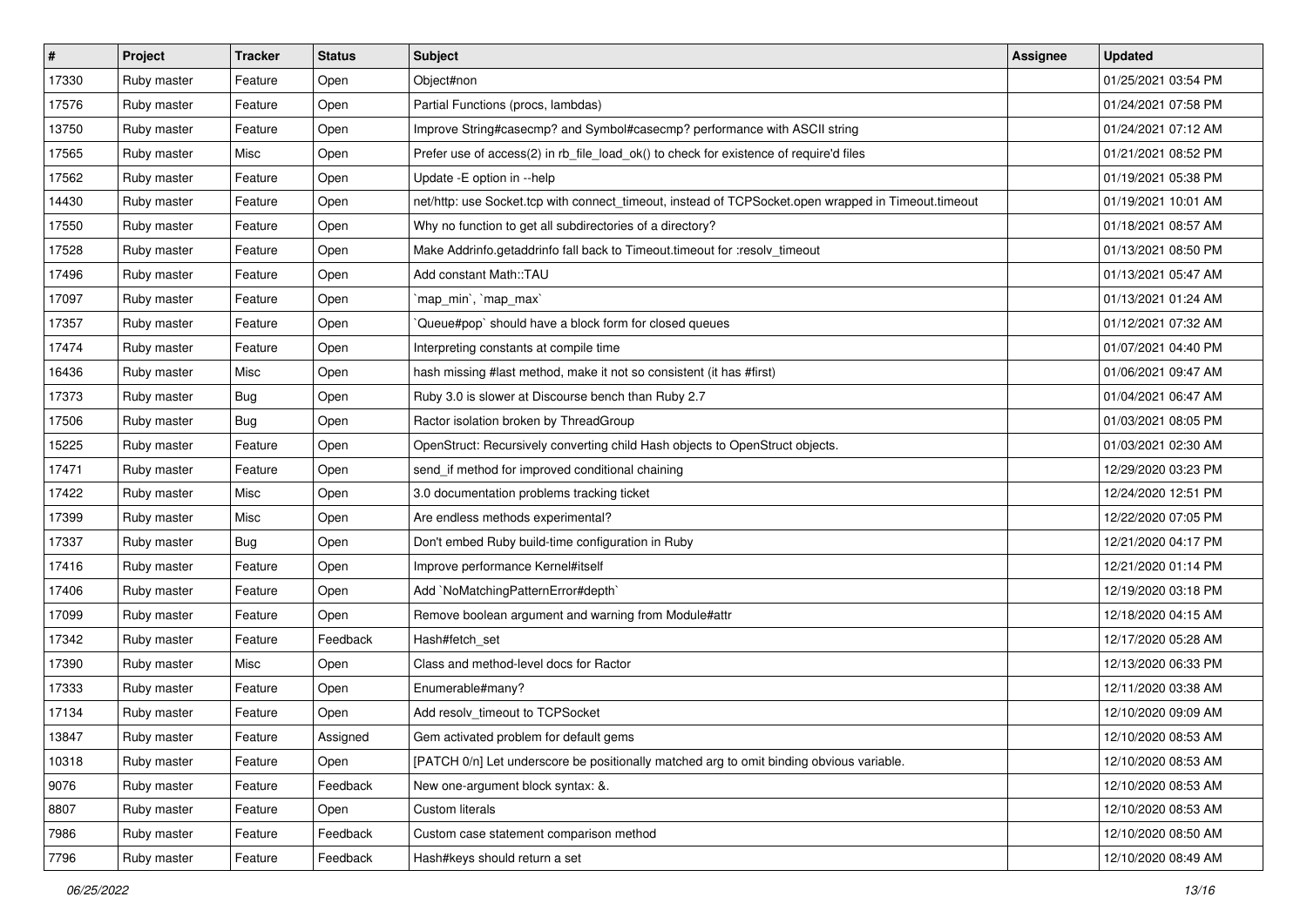| $\vert$ # | Project     | <b>Tracker</b> | <b>Status</b> | <b>Subject</b>                                                                                      | <b>Assignee</b> | <b>Updated</b>      |
|-----------|-------------|----------------|---------------|-----------------------------------------------------------------------------------------------------|-----------------|---------------------|
| 17330     | Ruby master | Feature        | Open          | Object#non                                                                                          |                 | 01/25/2021 03:54 PM |
| 17576     | Ruby master | Feature        | Open          | Partial Functions (procs, lambdas)                                                                  |                 | 01/24/2021 07:58 PM |
| 13750     | Ruby master | Feature        | Open          | Improve String#casecmp? and Symbol#casecmp? performance with ASCII string                           |                 | 01/24/2021 07:12 AM |
| 17565     | Ruby master | Misc           | Open          | Prefer use of access(2) in rb_file_load_ok() to check for existence of require'd files              |                 | 01/21/2021 08:52 PM |
| 17562     | Ruby master | Feature        | Open          | Update -E option in --help                                                                          |                 | 01/19/2021 05:38 PM |
| 14430     | Ruby master | Feature        | Open          | net/http: use Socket.tcp with connect_timeout, instead of TCPSocket.open wrapped in Timeout.timeout |                 | 01/19/2021 10:01 AM |
| 17550     | Ruby master | Feature        | Open          | Why no function to get all subdirectories of a directory?                                           |                 | 01/18/2021 08:57 AM |
| 17528     | Ruby master | Feature        | Open          | Make Addrinfo.getaddrinfo fall back to Timeout.timeout for :resolv_timeout                          |                 | 01/13/2021 08:50 PM |
| 17496     | Ruby master | Feature        | Open          | Add constant Math::TAU                                                                              |                 | 01/13/2021 05:47 AM |
| 17097     | Ruby master | Feature        | Open          | `map_min`, `map_max`                                                                                |                 | 01/13/2021 01:24 AM |
| 17357     | Ruby master | Feature        | Open          | Queue#pop` should have a block form for closed queues                                               |                 | 01/12/2021 07:32 AM |
| 17474     | Ruby master | Feature        | Open          | Interpreting constants at compile time                                                              |                 | 01/07/2021 04:40 PM |
| 16436     | Ruby master | Misc           | Open          | hash missing #last method, make it not so consistent (it has #first)                                |                 | 01/06/2021 09:47 AM |
| 17373     | Ruby master | <b>Bug</b>     | Open          | Ruby 3.0 is slower at Discourse bench than Ruby 2.7                                                 |                 | 01/04/2021 06:47 AM |
| 17506     | Ruby master | Bug            | Open          | Ractor isolation broken by ThreadGroup                                                              |                 | 01/03/2021 08:05 PM |
| 15225     | Ruby master | Feature        | Open          | OpenStruct: Recursively converting child Hash objects to OpenStruct objects.                        |                 | 01/03/2021 02:30 AM |
| 17471     | Ruby master | Feature        | Open          | send_if method for improved conditional chaining                                                    |                 | 12/29/2020 03:23 PM |
| 17422     | Ruby master | Misc           | Open          | 3.0 documentation problems tracking ticket                                                          |                 | 12/24/2020 12:51 PM |
| 17399     | Ruby master | Misc           | Open          | Are endless methods experimental?                                                                   |                 | 12/22/2020 07:05 PM |
| 17337     | Ruby master | <b>Bug</b>     | Open          | Don't embed Ruby build-time configuration in Ruby                                                   |                 | 12/21/2020 04:17 PM |
| 17416     | Ruby master | Feature        | Open          | Improve performance Kernel#itself                                                                   |                 | 12/21/2020 01:14 PM |
| 17406     | Ruby master | Feature        | Open          | Add `NoMatchingPatternError#depth`                                                                  |                 | 12/19/2020 03:18 PM |
| 17099     | Ruby master | Feature        | Open          | Remove boolean argument and warning from Module#attr                                                |                 | 12/18/2020 04:15 AM |
| 17342     | Ruby master | Feature        | Feedback      | Hash#fetch set                                                                                      |                 | 12/17/2020 05:28 AM |
| 17390     | Ruby master | Misc           | Open          | Class and method-level docs for Ractor                                                              |                 | 12/13/2020 06:33 PM |
| 17333     | Ruby master | Feature        | Open          | Enumerable#many?                                                                                    |                 | 12/11/2020 03:38 AM |
| 17134     | Ruby master | Feature        | Open          | Add resolv_timeout to TCPSocket                                                                     |                 | 12/10/2020 09:09 AM |
| 13847     | Ruby master | Feature        | Assigned      | Gem activated problem for default gems                                                              |                 | 12/10/2020 08:53 AM |
| 10318     | Ruby master | Feature        | Open          | [PATCH 0/n] Let underscore be positionally matched arg to omit binding obvious variable.            |                 | 12/10/2020 08:53 AM |
| 9076      | Ruby master | Feature        | Feedback      | New one-argument block syntax: &.                                                                   |                 | 12/10/2020 08:53 AM |
| 8807      | Ruby master | Feature        | Open          | Custom literals                                                                                     |                 | 12/10/2020 08:53 AM |
| 7986      | Ruby master | Feature        | Feedback      | Custom case statement comparison method                                                             |                 | 12/10/2020 08:50 AM |
| 7796      | Ruby master | Feature        | Feedback      | Hash#keys should return a set                                                                       |                 | 12/10/2020 08:49 AM |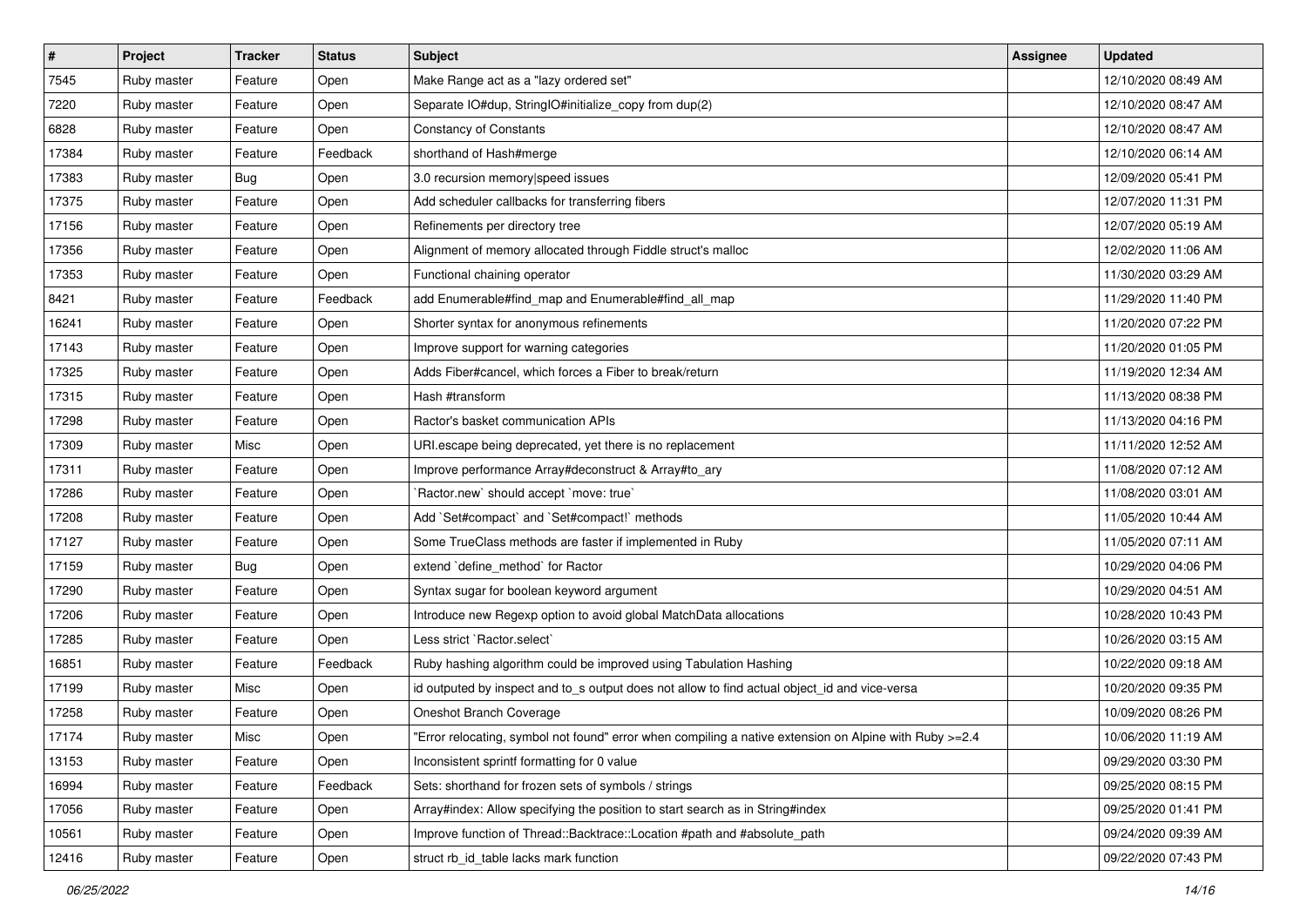| $\vert$ # | Project     | <b>Tracker</b> | <b>Status</b> | <b>Subject</b>                                                                                         | <b>Assignee</b> | <b>Updated</b>      |
|-----------|-------------|----------------|---------------|--------------------------------------------------------------------------------------------------------|-----------------|---------------------|
| 7545      | Ruby master | Feature        | Open          | Make Range act as a "lazy ordered set"                                                                 |                 | 12/10/2020 08:49 AM |
| 7220      | Ruby master | Feature        | Open          | Separate IO#dup, StringIO#initialize_copy from dup(2)                                                  |                 | 12/10/2020 08:47 AM |
| 6828      | Ruby master | Feature        | Open          | <b>Constancy of Constants</b>                                                                          |                 | 12/10/2020 08:47 AM |
| 17384     | Ruby master | Feature        | Feedback      | shorthand of Hash#merge                                                                                |                 | 12/10/2020 06:14 AM |
| 17383     | Ruby master | Bug            | Open          | 3.0 recursion memory speed issues                                                                      |                 | 12/09/2020 05:41 PM |
| 17375     | Ruby master | Feature        | Open          | Add scheduler callbacks for transferring fibers                                                        |                 | 12/07/2020 11:31 PM |
| 17156     | Ruby master | Feature        | Open          | Refinements per directory tree                                                                         |                 | 12/07/2020 05:19 AM |
| 17356     | Ruby master | Feature        | Open          | Alignment of memory allocated through Fiddle struct's malloc                                           |                 | 12/02/2020 11:06 AM |
| 17353     | Ruby master | Feature        | Open          | Functional chaining operator                                                                           |                 | 11/30/2020 03:29 AM |
| 8421      | Ruby master | Feature        | Feedback      | add Enumerable#find_map and Enumerable#find_all_map                                                    |                 | 11/29/2020 11:40 PM |
| 16241     | Ruby master | Feature        | Open          | Shorter syntax for anonymous refinements                                                               |                 | 11/20/2020 07:22 PM |
| 17143     | Ruby master | Feature        | Open          | Improve support for warning categories                                                                 |                 | 11/20/2020 01:05 PM |
| 17325     | Ruby master | Feature        | Open          | Adds Fiber#cancel, which forces a Fiber to break/return                                                |                 | 11/19/2020 12:34 AM |
| 17315     | Ruby master | Feature        | Open          | Hash #transform                                                                                        |                 | 11/13/2020 08:38 PM |
| 17298     | Ruby master | Feature        | Open          | Ractor's basket communication APIs                                                                     |                 | 11/13/2020 04:16 PM |
| 17309     | Ruby master | Misc           | Open          | URI escape being deprecated, yet there is no replacement                                               |                 | 11/11/2020 12:52 AM |
| 17311     | Ruby master | Feature        | Open          | Improve performance Array#deconstruct & Array#to_ary                                                   |                 | 11/08/2020 07:12 AM |
| 17286     | Ruby master | Feature        | Open          | Ractor.new' should accept 'move: true'                                                                 |                 | 11/08/2020 03:01 AM |
| 17208     | Ruby master | Feature        | Open          | Add `Set#compact` and `Set#compact!` methods                                                           |                 | 11/05/2020 10:44 AM |
| 17127     | Ruby master | Feature        | Open          | Some TrueClass methods are faster if implemented in Ruby                                               |                 | 11/05/2020 07:11 AM |
| 17159     | Ruby master | <b>Bug</b>     | Open          | extend 'define_method' for Ractor                                                                      |                 | 10/29/2020 04:06 PM |
| 17290     | Ruby master | Feature        | Open          | Syntax sugar for boolean keyword argument                                                              |                 | 10/29/2020 04:51 AM |
| 17206     | Ruby master | Feature        | Open          | Introduce new Regexp option to avoid global MatchData allocations                                      |                 | 10/28/2020 10:43 PM |
| 17285     | Ruby master | Feature        | Open          | Less strict `Ractor.select`                                                                            |                 | 10/26/2020 03:15 AM |
| 16851     | Ruby master | Feature        | Feedback      | Ruby hashing algorithm could be improved using Tabulation Hashing                                      |                 | 10/22/2020 09:18 AM |
| 17199     | Ruby master | Misc           | Open          | id outputed by inspect and to_s output does not allow to find actual object_id and vice-versa          |                 | 10/20/2020 09:35 PM |
| 17258     | Ruby master | Feature        | Open          | Oneshot Branch Coverage                                                                                |                 | 10/09/2020 08:26 PM |
| 17174     | Ruby master | Misc           | Open          | "Error relocating, symbol not found" error when compiling a native extension on Alpine with Ruby >=2.4 |                 | 10/06/2020 11:19 AM |
| 13153     | Ruby master | Feature        | Open          | Inconsistent sprintf formatting for 0 value                                                            |                 | 09/29/2020 03:30 PM |
| 16994     | Ruby master | Feature        | Feedback      | Sets: shorthand for frozen sets of symbols / strings                                                   |                 | 09/25/2020 08:15 PM |
| 17056     | Ruby master | Feature        | Open          | Array#index: Allow specifying the position to start search as in String#index                          |                 | 09/25/2020 01:41 PM |
| 10561     | Ruby master | Feature        | Open          | Improve function of Thread::Backtrace::Location #path and #absolute_path                               |                 | 09/24/2020 09:39 AM |
| 12416     | Ruby master | Feature        | Open          | struct rb_id_table lacks mark function                                                                 |                 | 09/22/2020 07:43 PM |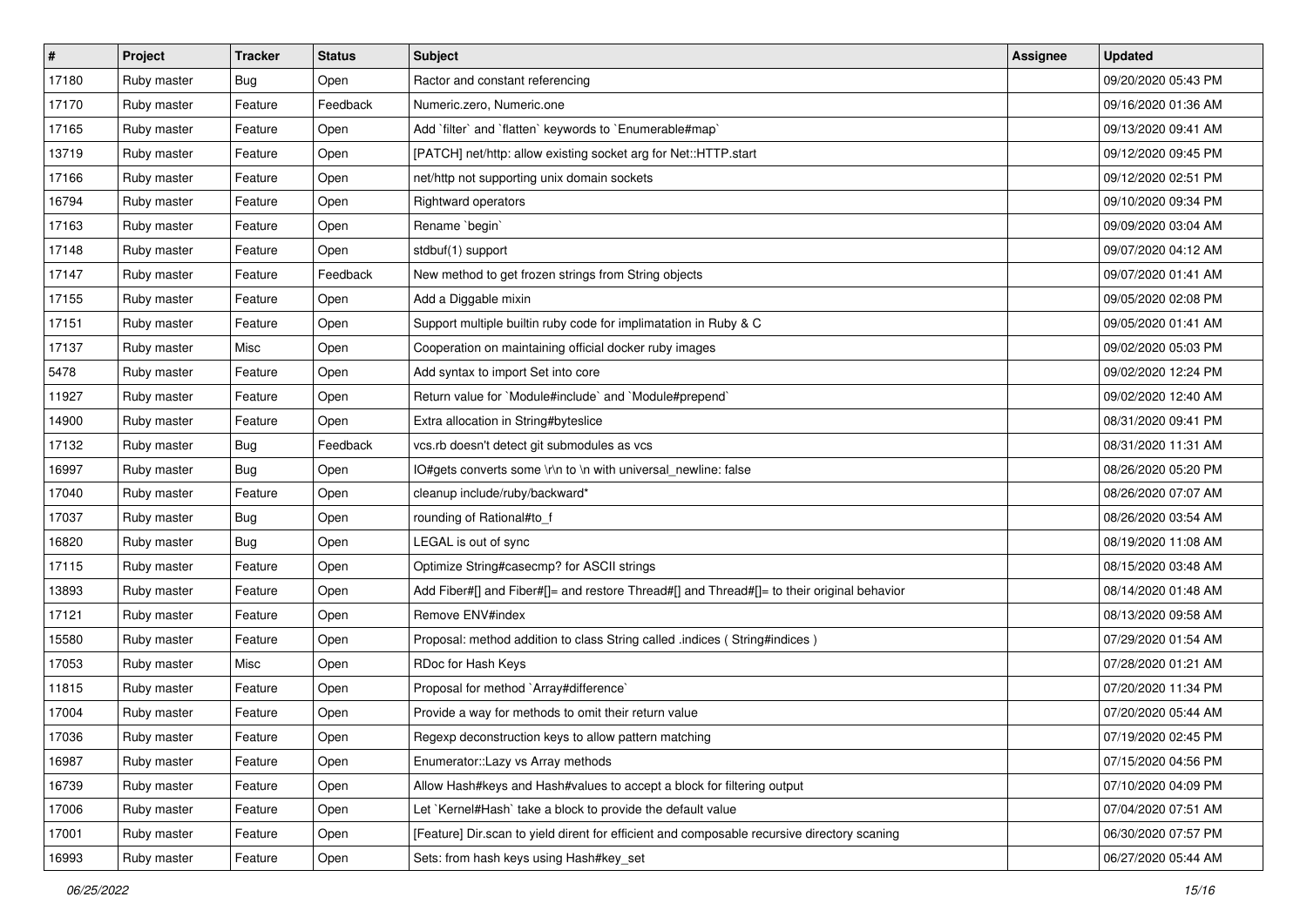| $\sharp$ | <b>Project</b> | <b>Tracker</b> | <b>Status</b> | <b>Subject</b>                                                                              | <b>Assignee</b> | <b>Updated</b>      |
|----------|----------------|----------------|---------------|---------------------------------------------------------------------------------------------|-----------------|---------------------|
| 17180    | Ruby master    | <b>Bug</b>     | Open          | Ractor and constant referencing                                                             |                 | 09/20/2020 05:43 PM |
| 17170    | Ruby master    | Feature        | Feedback      | Numeric.zero, Numeric.one                                                                   |                 | 09/16/2020 01:36 AM |
| 17165    | Ruby master    | Feature        | Open          | Add `filter` and `flatten` keywords to `Enumerable#map`                                     |                 | 09/13/2020 09:41 AM |
| 13719    | Ruby master    | Feature        | Open          | [PATCH] net/http: allow existing socket arg for Net::HTTP.start                             |                 | 09/12/2020 09:45 PM |
| 17166    | Ruby master    | Feature        | Open          | net/http not supporting unix domain sockets                                                 |                 | 09/12/2020 02:51 PM |
| 16794    | Ruby master    | Feature        | Open          | Rightward operators                                                                         |                 | 09/10/2020 09:34 PM |
| 17163    | Ruby master    | Feature        | Open          | Rename `begin`                                                                              |                 | 09/09/2020 03:04 AM |
| 17148    | Ruby master    | Feature        | Open          | stdbuf(1) support                                                                           |                 | 09/07/2020 04:12 AM |
| 17147    | Ruby master    | Feature        | Feedback      | New method to get frozen strings from String objects                                        |                 | 09/07/2020 01:41 AM |
| 17155    | Ruby master    | Feature        | Open          | Add a Diggable mixin                                                                        |                 | 09/05/2020 02:08 PM |
| 17151    | Ruby master    | Feature        | Open          | Support multiple builtin ruby code for implimatation in Ruby & C                            |                 | 09/05/2020 01:41 AM |
| 17137    | Ruby master    | Misc           | Open          | Cooperation on maintaining official docker ruby images                                      |                 | 09/02/2020 05:03 PM |
| 5478     | Ruby master    | Feature        | Open          | Add syntax to import Set into core                                                          |                 | 09/02/2020 12:24 PM |
| 11927    | Ruby master    | Feature        | Open          | Return value for `Module#include` and `Module#prepend`                                      |                 | 09/02/2020 12:40 AM |
| 14900    | Ruby master    | Feature        | Open          | Extra allocation in String#byteslice                                                        |                 | 08/31/2020 09:41 PM |
| 17132    | Ruby master    | <b>Bug</b>     | Feedback      | vcs.rb doesn't detect git submodules as vcs                                                 |                 | 08/31/2020 11:31 AM |
| 16997    | Ruby master    | Bug            | Open          | IO#gets converts some \r\n to \n with universal_newline: false                              |                 | 08/26/2020 05:20 PM |
| 17040    | Ruby master    | Feature        | Open          | cleanup include/ruby/backward*                                                              |                 | 08/26/2020 07:07 AM |
| 17037    | Ruby master    | <b>Bug</b>     | Open          | rounding of Rational#to_f                                                                   |                 | 08/26/2020 03:54 AM |
| 16820    | Ruby master    | <b>Bug</b>     | Open          | LEGAL is out of sync                                                                        |                 | 08/19/2020 11:08 AM |
| 17115    | Ruby master    | Feature        | Open          | Optimize String#casecmp? for ASCII strings                                                  |                 | 08/15/2020 03:48 AM |
| 13893    | Ruby master    | Feature        | Open          | Add Fiber#[] and Fiber#[]= and restore Thread#[] and Thread#[]= to their original behavior  |                 | 08/14/2020 01:48 AM |
| 17121    | Ruby master    | Feature        | Open          | Remove ENV#index                                                                            |                 | 08/13/2020 09:58 AM |
| 15580    | Ruby master    | Feature        | Open          | Proposal: method addition to class String called .indices (String#indices)                  |                 | 07/29/2020 01:54 AM |
| 17053    | Ruby master    | Misc           | Open          | RDoc for Hash Keys                                                                          |                 | 07/28/2020 01:21 AM |
| 11815    | Ruby master    | Feature        | Open          | Proposal for method `Array#difference`                                                      |                 | 07/20/2020 11:34 PM |
| 17004    | Ruby master    | Feature        | Open          | Provide a way for methods to omit their return value                                        |                 | 07/20/2020 05:44 AM |
| 17036    | Ruby master    | Feature        | Open          | Regexp deconstruction keys to allow pattern matching                                        |                 | 07/19/2020 02:45 PM |
| 16987    | Ruby master    | Feature        | Open          | Enumerator::Lazy vs Array methods                                                           |                 | 07/15/2020 04:56 PM |
| 16739    | Ruby master    | Feature        | Open          | Allow Hash#keys and Hash#values to accept a block for filtering output                      |                 | 07/10/2020 04:09 PM |
| 17006    | Ruby master    | Feature        | Open          | Let `Kernel#Hash` take a block to provide the default value                                 |                 | 07/04/2020 07:51 AM |
| 17001    | Ruby master    | Feature        | Open          | [Feature] Dir.scan to yield dirent for efficient and composable recursive directory scaning |                 | 06/30/2020 07:57 PM |
| 16993    | Ruby master    | Feature        | Open          | Sets: from hash keys using Hash#key_set                                                     |                 | 06/27/2020 05:44 AM |